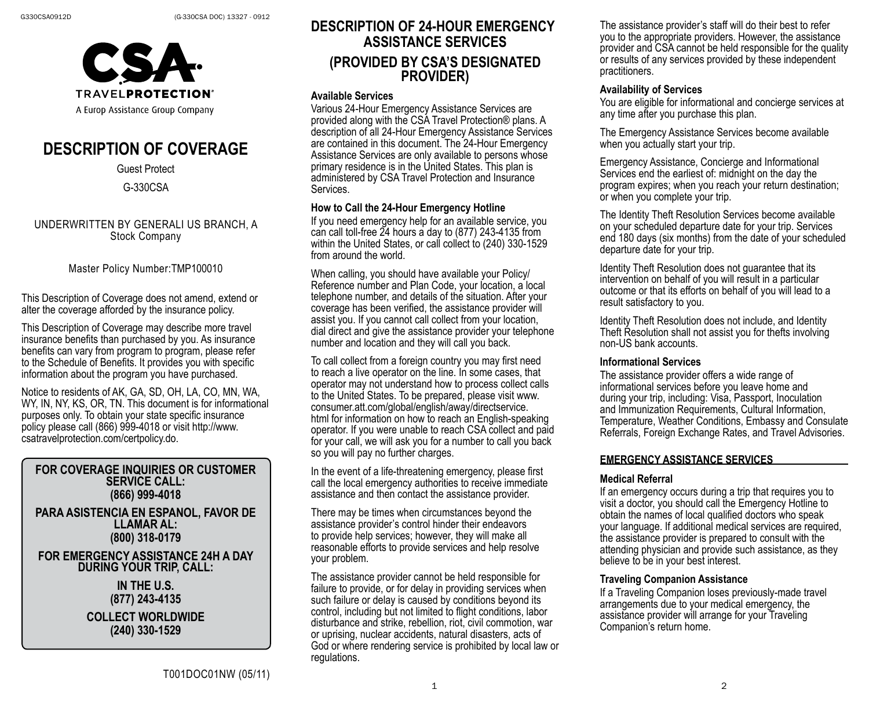

# **DESCRIPTION OF COVERAGE**

#### Guest Protect

G-330CSA

UNDERWRITTEN BY GENERALI US BRANCH, A Stock Company

Master Policy Number:TMP100010

This Description of Coverage does not amend, extend or alter the coverage afforded by the insurance policy.

This Description of Coverage may describe more travel insurance benefits than purchased by you. As insurance benefits can vary from program to program, please refer to the Schedule of Benefits. It provides you with specific information about the program you have purchased.

Notice to residents of AK, GA, SD, OH, LA, CO, MN, WA, WY, IN, NY, KS, OR, TN. This document is for informational purposes only. To obtain your state specific insurance policy please call (866) 999-4018 or visit http://www. csatravelprotection.com/certpolicy.do.

### **FOR COVERAGE INQUIRIES OR CUSTOMER SERVICE CALL: (866) 999-4018**

**PARA ASISTENCIA EN ESPANOL, FAVOR DE LLAMAR AL: (800) 318-0179**

#### **FOR EMERGENCY ASSISTANCE 24H A DAY DURING YOUR TRIP, CALL:**

**IN THE U.S. (877) 243-4135**

**COLLECT WORLDWIDE (240) 330-1529**

# **DESCRIPTION OF 24-HOUR EMERGENCY ASSISTANCE SERVICES (PROVIDED BY CSA'S DESIGNATED PROVIDER)**

#### **Available Services**

Various 24-Hour Emergency Assistance Services are provided along with the CSA Travel Protection® plans. A description of all 24-Hour Emergency Assistance Services are contained in this document. The 24-Hour Emergency Assistance Services are only available to persons whose primary residence is in the United States. This plan is administered by CSA Travel Protection and Insurance **Services** 

#### **How to Call the 24-Hour Emergency Hotline**

If you need emergency help for an available service, you can call toll-free 24 hours a day to (877) 243-4135 from within the United States, or call collect to (240) 330-1529 from around the world.

When calling, you should have available your Policy/ Reference number and Plan Code, your location, a local telephone number, and details of the situation. After your coverage has been verified, the assistance provider will assist you. If you cannot call collect from your location, dial direct and give the assistance provider your telephone number and location and they will call you back.

To call collect from a foreign country you may first need to reach a live operator on the line. In some cases, that operator may not understand how to process collect calls to the United States. To be prepared, please visit www. consumer.att.com/global/english/away/directservice. html for information on how to reach an English-speaking operator. If you were unable to reach CSA collect and paid for your call, we will ask you for a number to call you back so you will pay no further charges.

In the event of a life-threatening emergency, please first call the local emergency authorities to receive immediate assistance and then contact the assistance provider.

There may be times when circumstances beyond the assistance provider's control hinder their endeavors to provide help services; however, they will make all reasonable efforts to provide services and help resolve your problem.

The assistance provider cannot be held responsible for failure to provide, or for delay in providing services when such failure or delay is caused by conditions beyond its control, including but not limited to flight conditions, labor disturbance and strike, rebellion, riot, civil commotion, war or uprising, nuclear accidents, natural disasters, acts of God or where rendering service is prohibited by local law or regulations.

The assistance provider's staff will do their best to refer you to the appropriate providers. However, the assistance provider and CSA cannot be held responsible for the quality or results of any services provided by these independent practitioners.

#### **Availability of Services**

You are eligible for informational and concierge services at any time after you purchase this plan.

The Emergency Assistance Services become available when you actually start your trip.

Emergency Assistance, Concierge and Informational Services end the earliest of: midnight on the day the program expires; when you reach your return destination; or when you complete your trip.

The Identity Theft Resolution Services become available on your scheduled departure date for your trip. Services end 180 days (six months) from the date of your scheduled departure date for your trip.

Identity Theft Resolution does not guarantee that its intervention on behalf of you will result in a particular outcome or that its efforts on behalf of you will lead to a result satisfactory to you.

Identity Theft Resolution does not include, and Identity Theft Resolution shall not assist you for thefts involving non-US bank accounts.

#### **Informational Services**

The assistance provider offers a wide range of informational services before you leave home and during your trip, including: Visa, Passport, Inoculation and Immunization Requirements, Cultural Information, Temperature, Weather Conditions, Embassy and Consulate Referrals, Foreign Exchange Rates, and Travel Advisories.

#### **EMERGENCY ASSISTANCE SERVICES**

#### **Medical Referral**

If an emergency occurs during a trip that requires you to visit a doctor, you should call the Emergency Hotline to obtain the names of local qualified doctors who speak your language. If additional medical services are required, the assistance provider is prepared to consult with the attending physician and provide such assistance, as they believe to be in your best interest.

#### **Traveling Companion Assistance**

If a Traveling Companion loses previously-made travel arrangements due to your medical emergency, the assistance provider will arrange for your Traveling Companion's return home.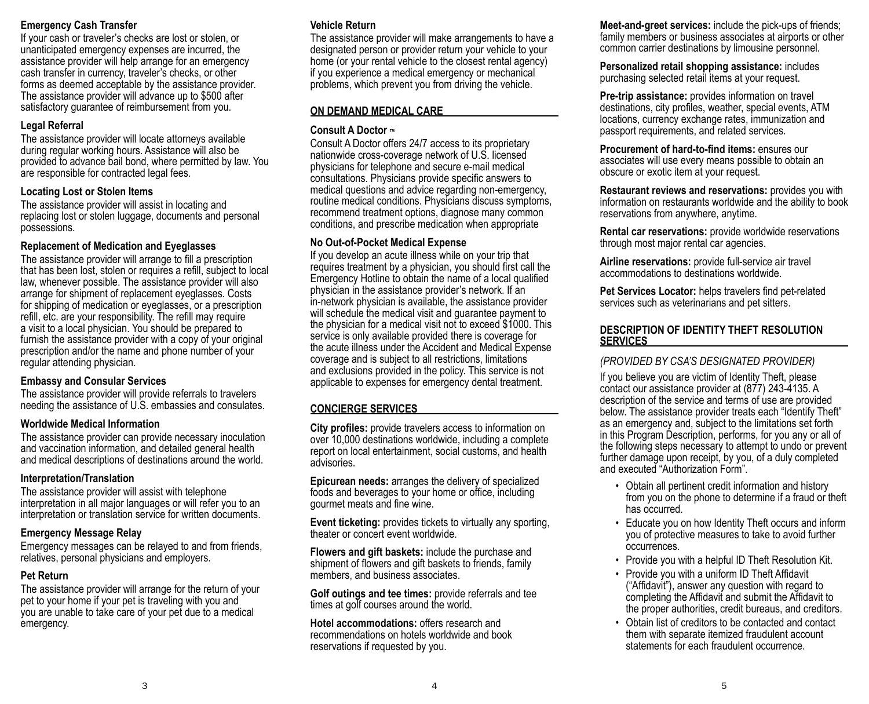### **Emergency Cash Transfer**

If your cash or traveler's checks are lost or stolen, or unanticipated emergency expenses are incurred, the assistance provider will help arrange for an emergency cash transfer in currency, traveler's checks, or other forms as deemed acceptable by the assistance provider. The assistance provider will advance up to \$500 after satisfactory guarantee of reimbursement from you.

### **Legal Referral**

The assistance provider will locate attorneys available during regular working hours. Assistance will also be provided to advance bail bond, where permitted by law. You are responsible for contracted legal fees.

### **Locating Lost or Stolen Items**

The assistance provider will assist in locating and replacing lost or stolen luggage, documents and personal possessions.

### **Replacement of Medication and Eyeglasses**

The assistance provider will arrange to fill a prescription that has been lost, stolen or requires a refill, subject to local law, whenever possible. The assistance provider will also arrange for shipment of replacement eyeglasses. Costs for shipping of medication or eyeglasses, or a prescription refill, etc. are your responsibility. The refill may require a visit to a local physician. You should be prepared to furnish the assistance provider with a copy of your original prescription and/or the name and phone number of your regular attending physician.

### **Embassy and Consular Services**

The assistance provider will provide referrals to travelers needing the assistance of U.S. embassies and consulates.

### **Worldwide Medical Information**

The assistance provider can provide necessary inoculation and vaccination information, and detailed general health and medical descriptions of destinations around the world.

# **Interpretation/Translation**

The assistance provider will assist with telephone interpretation in all major languages or will refer you to an interpretation or translation service for written documents.

# **Emergency Message Relay**

Emergency messages can be relayed to and from friends, relatives, personal physicians and employers.

# **Pet Return**

The assistance provider will arrange for the return of your pet to your home if your pet is traveling with you and you are unable to take care of your pet due to a medical emergency.

# **Vehicle Return**

The assistance provider will make arrangements to have a designated person or provider return your vehicle to your home (or your rental vehicle to the closest rental agency) if you experience a medical emergency or mechanical problems, which prevent you from driving the vehicle.

### **ON DEMAND MEDICAL CARE**

### **Consult A Doctor ™**

Consult A Doctor offers 24/7 access to its proprietary nationwide cross-coverage network of U.S. licensed physicians for telephone and secure e-mail medical consultations. Physicians provide specific answers to medical questions and advice regarding non-emergency, routine medical conditions. Physicians discuss symptoms, recommend treatment options, diagnose many common conditions, and prescribe medication when appropriate

## **No Out-of-Pocket Medical Expense**

If you develop an acute illness while on your trip that requires treatment by a physician, you should first call the Emergency Hotline to obtain the name of a local qualified physician in the assistance provider's network. If an in-network physician is available, the assistance provider will schedule the medical visit and guarantee payment to the physician for a medical visit not to exceed \$1000. This service is only available provided there is coverage for the acute illness under the Accident and Medical Expense coverage and is subject to all restrictions, limitations and exclusions provided in the policy. This service is not applicable to expenses for emergency dental treatment.

### **CONCIERGE SERVICES**

**City profiles:** provide travelers access to information on over 10,000 destinations worldwide, including a complete report on local entertainment, social customs, and health advisories.

**Epicurean needs:** arranges the delivery of specialized foods and beverages to your home or office, including gourmet meats and fine wine.

**Event ticketing:** provides tickets to virtually any sporting, theater or concert event worldwide.

**Flowers and gift baskets:** include the purchase and shipment of flowers and gift baskets to friends, family members, and business associates.

**Golf outings and tee times:** provide referrals and tee times at golf courses around the world.

**Hotel accommodations:** offers research and recommendations on hotels worldwide and book reservations if requested by you.

**Meet-and-greet services:** include the pick-ups of friends; family members or business associates at airports or other common carrier destinations by limousine personnel.

**Personalized retail shopping assistance:** includes purchasing selected retail items at your request.

**Pre-trip assistance:** provides information on travel destinations, city profiles, weather, special events, ATM locations, currency exchange rates, immunization and passport requirements, and related services.

**Procurement of hard-to-find items:** ensures our associates will use every means possible to obtain an obscure or exotic item at your request.

**Restaurant reviews and reservations:** provides you with information on restaurants worldwide and the ability to book reservations from anywhere, anytime.

**Rental car reservations:** provide worldwide reservations through most major rental car agencies.

**Airline reservations:** provide full-service air travel accommodations to destinations worldwide.

**Pet Services Locator:** helps travelers find pet-related services such as veterinarians and pet sitters.

#### **DESCRIPTION OF IDENTITY THEFT RESOLUTION SERVICES**

### *(PROVIDED BY CSA'S DESIGNATED PROVIDER)*

If you believe you are victim of Identity Theft, please contact our assistance provider at (877) 243-4135. A description of the service and terms of use are provided below. The assistance provider treats each "Identify Theft" as an emergency and, subject to the limitations set forth in this Program Description, performs, for you any or all of the following steps necessary to attempt to undo or prevent further damage upon receipt, by you, of a duly completed and executed "Authorization Form".

- Obtain all pertinent credit information and history from you on the phone to determine if a fraud or theft has occurred.
- Educate you on how Identity Theft occurs and inform you of protective measures to take to avoid further occurrences.
- Provide you with a helpful ID Theft Resolution Kit.
- Provide you with a uniform ID Theft Affidavit ("Affidavit"), answer any question with regard to completing the Affidavit and submit the Affidavit to the proper authorities, credit bureaus, and creditors.
- Obtain list of creditors to be contacted and contact them with separate itemized fraudulent account statements for each fraudulent occurrence.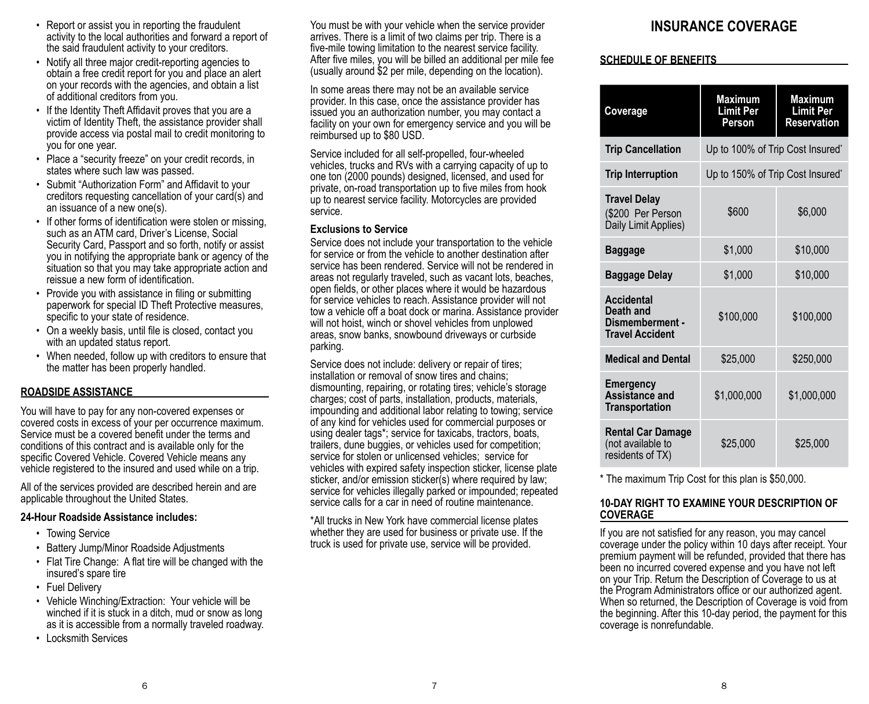- Report or assist you in reporting the fraudulent activity to the local authorities and forward a report of the said fraudulent activity to your creditors.
- Notify all three major credit-reporting agencies to obtain a free credit report for you and place an alert on your records with the agencies, and obtain a list of additional creditors from you.
- If the Identity Theft Affidavit proves that you are a victim of Identity Theft, the assistance provider shall provide access via postal mail to credit monitoring to you for one year.
- Place a "security freeze" on your credit records, in states where such law was passed.
- Submit "Authorization Form" and Affidavit to your creditors requesting cancellation of your card(s) and an issuance of a new one(s).
- If other forms of identification were stolen or missing, such as an ATM card, Driver's License, Social Security Card, Passport and so forth, notify or assist you in notifying the appropriate bank or agency of the situation so that you may take appropriate action and reissue a new form of identification.
- Provide you with assistance in filing or submitting paperwork for special ID Theft Protective measures, specific to your state of residence.
- On a weekly basis, until file is closed, contact you with an updated status report.
- When needed, follow up with creditors to ensure that the matter has been properly handled.

#### **ROADSIDE ASSISTANCE**

You will have to pay for any non-covered expenses or covered costs in excess of your per occurrence maximum. Service must be a covered benefit under the terms and conditions of this contract and is available only for the specific Covered Vehicle. Covered Vehicle means any vehicle registered to the insured and used while on a trip.

All of the services provided are described herein and are applicable throughout the United States.

#### **24-Hour Roadside Assistance includes:**

- Towing Service
- Battery Jump/Minor Roadside Adjustments
- Flat Tire Change: A flat tire will be changed with the insured's spare tire
- Fuel Delivery
- Vehicle Winching/Extraction: Your vehicle will be winched if it is stuck in a ditch, mud or snow as long as it is accessible from a normally traveled roadway.
- Locksmith Services

You must be with your vehicle when the service provider arrives. There is a limit of two claims per trip. There is a five-mile towing limitation to the nearest service facility. After five miles, you will be billed an additional per mile fee (usually around \$2 per mile, depending on the location).

In some areas there may not be an available service provider. In this case, once the assistance provider has issued you an authorization number, you may contact a facility on your own for emergency service and you will be reimbursed up to \$80 USD.

Service included for all self-propelled, four-wheeled vehicles, trucks and RVs with a carrying capacity of up to one ton (2000 pounds) designed, licensed, and used for private, on-road transportation up to five miles from hook up to nearest service facility. Motorcycles are provided service.

#### **Exclusions to Service**

Service does not include your transportation to the vehicle for service or from the vehicle to another destination after service has been rendered. Service will not be rendered in areas not regularly traveled, such as vacant lots, beaches, open fields, or other places where it would be hazardous for service vehicles to reach. Assistance provider will not tow a vehicle off a boat dock or marina. Assistance provider will not hoist, winch or shovel vehicles from unplowed areas, snow banks, snowbound driveways or curbside parking.

Service does not include: delivery or repair of tires; installation or removal of snow tires and chains; dismounting, repairing, or rotating tires; vehicle's storage charges; cost of parts, installation, products, materials, impounding and additional labor relating to towing; service of any kind for vehicles used for commercial purposes or using dealer tags\*; service for taxicabs, tractors, boats, trailers, dune buggies, or vehicles used for competition; service for stolen or unlicensed vehicles; service for vehicles with expired safety inspection sticker, license plate sticker, and/or emission sticker(s) where required by law; service for vehicles illegally parked or impounded; repeated service calls for a car in need of routine maintenance.

\*All trucks in New York have commercial license plates whether they are used for business or private use. If the truck is used for private use, service will be provided.

# **INSURANCE COVERAGE**

#### **SCHEDULE OF BENEFITS**

| Coverage                                                                    | <b>Maximum</b><br><b>Limit Per</b><br>Person | <b>Maximum</b><br><b>Limit Per</b><br><b>Reservation</b> |
|-----------------------------------------------------------------------------|----------------------------------------------|----------------------------------------------------------|
| <b>Trip Cancellation</b>                                                    | Up to 100% of Trip Cost Insured*             |                                                          |
| <b>Trip Interruption</b>                                                    | Up to 150% of Trip Cost Insured*             |                                                          |
| <b>Travel Delay</b><br>(\$200 Per Person<br>Daily Limit Applies)            | \$600                                        | \$6,000                                                  |
| <b>Baggage</b>                                                              | \$1,000                                      | \$10,000                                                 |
| <b>Baggage Delay</b>                                                        | \$1,000                                      | \$10,000                                                 |
| <b>Accidental</b><br>Death and<br>Dismemberment -<br><b>Travel Accident</b> | \$100,000                                    | \$100,000                                                |
| <b>Medical and Dental</b>                                                   | \$25,000                                     | \$250,000                                                |
| <b>Emergency</b><br><b>Assistance and</b><br><b>Transportation</b>          | \$1,000,000                                  | \$1,000,000                                              |
| <b>Rental Car Damage</b><br>(not available to<br>residents of TX)           | \$25,000                                     | \$25,000                                                 |

\* The maximum Trip Cost for this plan is \$50,000.

#### **10-DAY RIGHT TO EXAMINE YOUR DESCRIPTION OF COVERAGE**

If you are not satisfied for any reason, you may cancel coverage under the policy within 10 days after receipt. Your premium payment will be refunded, provided that there has been no incurred covered expense and you have not left on your Trip. Return the Description of Coverage to us at the Program Administrators office or our authorized agent. When so returned, the Description of Coverage is void from the beginning. After this 10-day period, the payment for this coverage is nonrefundable.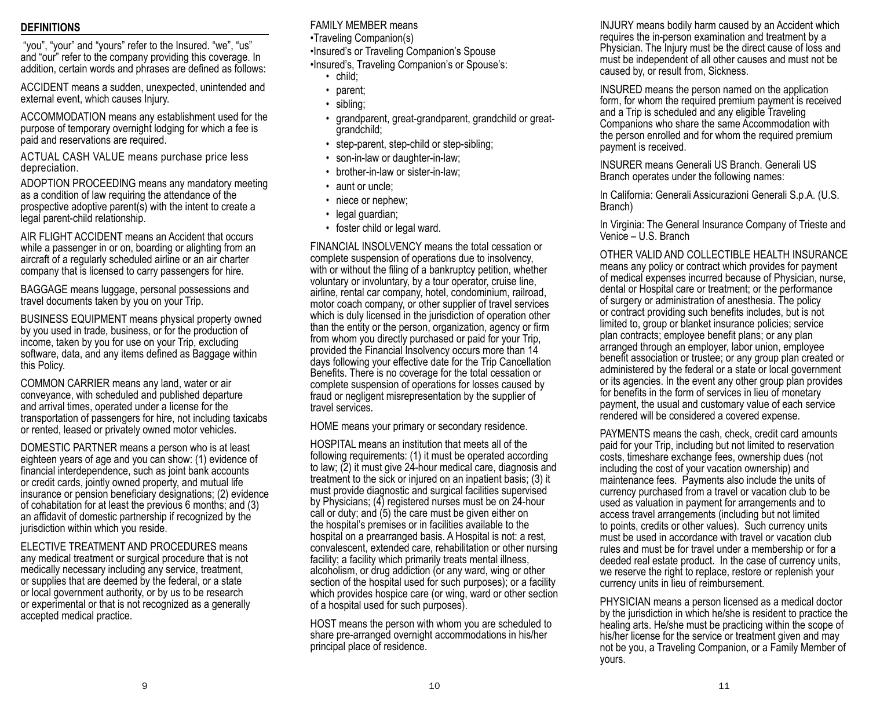#### **DEFINITIONS**

 "you", "your" and "yours" refer to the Insured. "we", "us" and "our" refer to the company providing this coverage. In addition, certain words and phrases are defined as follows:

ACCIDENT means a sudden, unexpected, unintended and external event, which causes Injury.

ACCOMMODATION means any establishment used for the purpose of temporary overnight lodging for which a fee is paid and reservations are required.

ACTUAL CASH VALUE means purchase price less depreciation.

ADOPTION PROCEEDING means any mandatory meeting as a condition of law requiring the attendance of the prospective adoptive parent(s) with the intent to create a legal parent-child relationship.

AIR FLIGHT ACCIDENT means an Accident that occurs while a passenger in or on, boarding or alighting from an aircraft of a regularly scheduled airline or an air charter company that is licensed to carry passengers for hire.

BAGGAGE means luggage, personal possessions and travel documents taken by you on your Trip.

BUSINESS EQUIPMENT means physical property owned by you used in trade, business, or for the production of income, taken by you for use on your Trip, excluding software, data, and any items defined as Baggage within this Policy.

COMMON CARRIER means any land, water or air conveyance, with scheduled and published departure and arrival times, operated under a license for the transportation of passengers for hire, not including taxicabs or rented, leased or privately owned motor vehicles.

DOMESTIC PARTNER means a person who is at least eighteen years of age and you can show: (1) evidence of financial interdependence, such as joint bank accounts or credit cards, jointly owned property, and mutual life insurance or pension beneficiary designations; (2) evidence of cohabitation for at least the previous 6 months; and (3) an affidavit of domestic partnership if recognized by the jurisdiction within which you reside.

ELECTIVE TREATMENT AND PROCEDURES means any medical treatment or surgical procedure that is not medically necessary including any service, treatment, or supplies that are deemed by the federal, or a state or local government authority, or by us to be research or experimental or that is not recognized as a generally accepted medical practice.

FAMILY MEMBER means •Traveling Companion(s) •Insured's or Traveling Companion's Spouse •Insured's, Traveling Companion's or Spouse's:

- child;
- parent;
- sibling;
- grandparent, great-grandparent, grandchild or greatgrandchild;
- step-parent, step-child or step-sibling;
- son-in-law or daughter-in-law;
- brother-in-law or sister-in-law;
- aunt or uncle;
- niece or nephew;
- legal guardian;
- foster child or legal ward.

FINANCIAL INSOLVENCY means the total cessation or complete suspension of operations due to insolvency, with or without the filing of a bankruptcy petition, whether voluntary or involuntary, by a tour operator, cruise line, airline, rental car company, hotel, condominium, railroad, motor coach company, or other supplier of travel services which is duly licensed in the jurisdiction of operation other than the entity or the person, organization, agency or firm from whom you directly purchased or paid for your Trip, provided the Financial Insolvency occurs more than 14 days following your effective date for the Trip Cancellation Benefits. There is no coverage for the total cessation or complete suspension of operations for losses caused by fraud or negligent misrepresentation by the supplier of travel services.

HOME means your primary or secondary residence.

HOSPITAL means an institution that meets all of the following requirements: (1) it must be operated according to law; (2) it must give 24-hour medical care, diagnosis and treatment to the sick or injured on an inpatient basis; (3) it must provide diagnostic and surgical facilities supervised by Physicians; (4) registered nurses must be on 24-hour call or duty; and (5) the care must be given either on the hospital's premises or in facilities available to the hospital on a prearranged basis. A Hospital is not: a rest, convalescent, extended care, rehabilitation or other nursing facility; a facility which primarily treats mental illness, alcoholism, or drug addiction (or any ward, wing or other section of the hospital used for such purposes); or a facility which provides hospice care (or wing, ward or other section of a hospital used for such purposes).

HOST means the person with whom you are scheduled to share pre-arranged overnight accommodations in his/her principal place of residence.

INJURY means bodily harm caused by an Accident which requires the in-person examination and treatment by a Physician. The Injury must be the direct cause of loss and must be independent of all other causes and must not be caused by, or result from, Sickness.

INSURED means the person named on the application form, for whom the required premium payment is received and a Trip is scheduled and any eligible Traveling Companions who share the same Accommodation with the person enrolled and for whom the required premium payment is received.

INSURER means Generali US Branch. Generali US Branch operates under the following names:

In California: Generali Assicurazioni Generali S.p.A. (U.S. Branch)

In Virginia: The General Insurance Company of Trieste and Venice – U.S. Branch

OTHER VALID AND COLLECTIBLE HEALTH INSURANCE means any policy or contract which provides for payment of medical expenses incurred because of Physician, nurse, dental or Hospital care or treatment; or the performance of surgery or administration of anesthesia. The policy or contract providing such benefits includes, but is not limited to, group or blanket insurance policies; service plan contracts; employee benefit plans; or any plan arranged through an employer, labor union, employee benefit association or trustee; or any group plan created or administered by the federal or a state or local government or its agencies. In the event any other group plan provides for benefits in the form of services in lieu of monetary payment, the usual and customary value of each service rendered will be considered a covered expense.

PAYMENTS means the cash, check, credit card amounts paid for your Trip, including but not limited to reservation costs, timeshare exchange fees, ownership dues (not including the cost of your vacation ownership) and maintenance fees. Payments also include the units of currency purchased from a travel or vacation club to be used as valuation in payment for arrangements and to access travel arrangements (including but not limited to points, credits or other values). Such currency units must be used in accordance with travel or vacation club rules and must be for travel under a membership or for a deeded real estate product. In the case of currency units, we reserve the right to replace, restore or replenish your currency units in lieu of reimbursement.

PHYSICIAN means a person licensed as a medical doctor by the jurisdiction in which he/she is resident to practice the healing arts. He/she must be practicing within the scope of his/her license for the service or treatment given and may not be you, a Traveling Companion, or a Family Member of yours.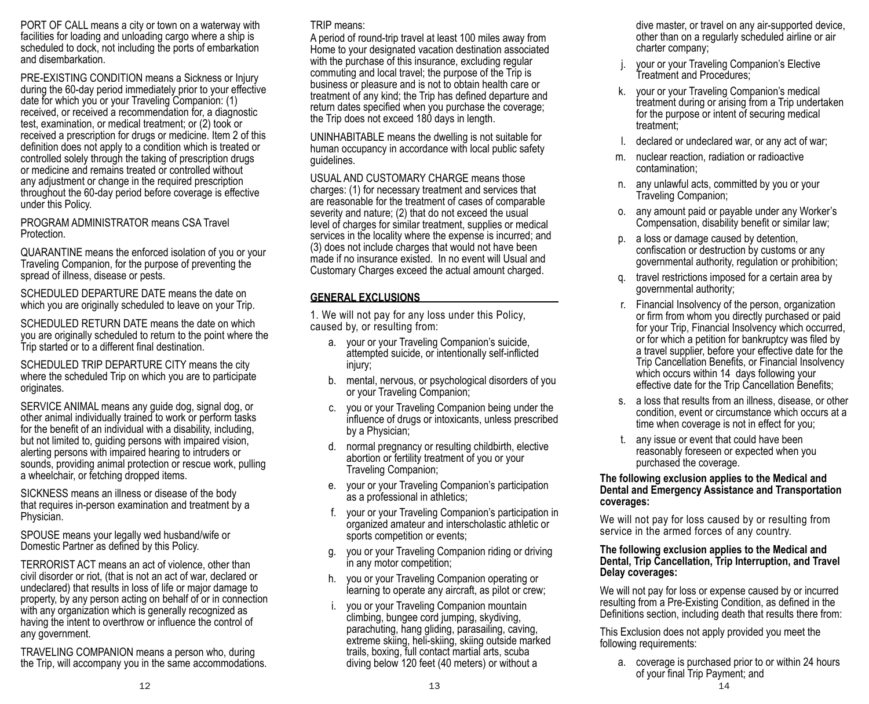PORT OF CALL means a city or town on a waterway with facilities for loading and unloading cargo where a ship is scheduled to dock, not including the ports of embarkation and disembarkation.

PRE-EXISTING CONDITION means a Sickness or Injury during the 60-day period immediately prior to your effective date for which you or your Traveling Companion: (1) received, or received a recommendation for, a diagnostic test, examination, or medical treatment; or (2) took or received a prescription for drugs or medicine. Item 2 of this definition does not apply to a condition which is treated or controlled solely through the taking of prescription drugs or medicine and remains treated or controlled without any adjustment or change in the required prescription throughout the 60-day period before coverage is effective under this Policy.

#### PROGRAM ADMINISTRATOR means CSA Travel Protection.

QUARANTINE means the enforced isolation of you or your Traveling Companion, for the purpose of preventing the spread of illness, disease or pests.

SCHEDULED DEPARTURE DATE means the date on which you are originally scheduled to leave on your Trip.

SCHEDULED RETURN DATE means the date on which you are originally scheduled to return to the point where the Trip started or to a different final destination.

SCHEDULED TRIP DEPARTURE CITY means the city where the scheduled Trip on which you are to participate originates.

SERVICE ANIMAL means any guide dog, signal dog, or other animal individually trained to work or perform tasks for the benefit of an individual with a disability, including, but not limited to, guiding persons with impaired vision, alerting persons with impaired hearing to intruders or sounds, providing animal protection or rescue work, pulling a wheelchair, or fetching dropped items.

SICKNESS means an illness or disease of the body that requires in-person examination and treatment by a Physician.

SPOUSE means your legally wed husband/wife or Domestic Partner as defined by this Policy.

TERRORIST ACT means an act of violence, other than civil disorder or riot, (that is not an act of war, declared or undeclared) that results in loss of life or major damage to property, by any person acting on behalf of or in connection with any organization which is generally recognized as having the intent to overthrow or influence the control of any government.

TRAVELING COMPANION means a person who, during the Trip, will accompany you in the same accommodations.

### TRIP means:

A period of round-trip travel at least 100 miles away from Home to your designated vacation destination associated with the purchase of this insurance, excluding regular commuting and local travel; the purpose of the Trip is business or pleasure and is not to obtain health care or treatment of any kind; the Trip has defined departure and return dates specified when you purchase the coverage; the Trip does not exceed 180 days in length.

UNINHABITABLE means the dwelling is not suitable for human occupancy in accordance with local public safety guidelines.

USUAL AND CUSTOMARY CHARGE means those charges: (1) for necessary treatment and services that are reasonable for the treatment of cases of comparable severity and nature; (2) that do not exceed the usual level of charges for similar treatment, supplies or medical services in the locality where the expense is incurred; and (3) does not include charges that would not have been made if no insurance existed. In no event will Usual and Customary Charges exceed the actual amount charged.

# **GENERAL EXCLUSIONS**

1. We will not pay for any loss under this Policy, caused by, or resulting from:

- a. your or your Traveling Companion's suicide, attempted suicide, or intentionally self-inflicted injury;
- b. mental, nervous, or psychological disorders of you or your Traveling Companion;
- c. you or your Traveling Companion being under the influence of drugs or intoxicants, unless prescribed by a Physician;
- d. normal pregnancy or resulting childbirth, elective abortion or fertility treatment of you or your Traveling Companion;
- e. your or your Traveling Companion's participation as a professional in athletics;
- f. your or your Traveling Companion's participation in organized amateur and interscholastic athletic or sports competition or events;
- g. you or your Traveling Companion riding or driving in any motor competition;
- h. you or your Traveling Companion operating or learning to operate any aircraft, as pilot or crew;
- i. you or your Traveling Companion mountain climbing, bungee cord jumping, skydiving, parachuting, hang gliding, parasailing, caving, extreme skiing, heli-skiing, skiing outside marked trails, boxing, full contact martial arts, scuba diving below 120 feet (40 meters) or without a

dive master, or travel on any air-supported device, other than on a regularly scheduled airline or air charter company;

- j. your or your Traveling Companion's Elective Treatment and Procedures;
- k. your or your Traveling Companion's medical treatment during or arising from a Trip undertaken for the purpose or intent of securing medical treatment;
- l. declared or undeclared war, or any act of war;
- m. nuclear reaction, radiation or radioactive contamination;
- n. any unlawful acts, committed by you or your Traveling Companion;
- o. any amount paid or payable under any Worker's Compensation, disability benefit or similar law;
- p. a loss or damage caused by detention, confiscation or destruction by customs or any governmental authority, regulation or prohibition;
- q. travel restrictions imposed for a certain area by governmental authority;
- r. Financial Insolvency of the person, organization or firm from whom you directly purchased or paid for your Trip, Financial Insolvency which occurred, or for which a petition for bankruptcy was filed by a travel supplier, before your effective date for the Trip Cancellation Benefits, or Financial Insolvency which occurs within 14 days following your effective date for the Trip Cancellation Benefits;
- s. a loss that results from an illness, disease, or other condition, event or circumstance which occurs at a time when coverage is not in effect for you;
- t. any issue or event that could have been reasonably foreseen or expected when you purchased the coverage.

#### **The following exclusion applies to the Medical and Dental and Emergency Assistance and Transportation coverages:**

We will not pay for loss caused by or resulting from service in the armed forces of any country.

#### **The following exclusion applies to the Medical and Dental, Trip Cancellation, Trip Interruption, and Travel Delay coverages:**

We will not pay for loss or expense caused by or incurred resulting from a Pre-Existing Condition, as defined in the Definitions section, including death that results there from:

This Exclusion does not apply provided you meet the following requirements:

a. coverage is purchased prior to or within 24 hours of your final Trip Payment; and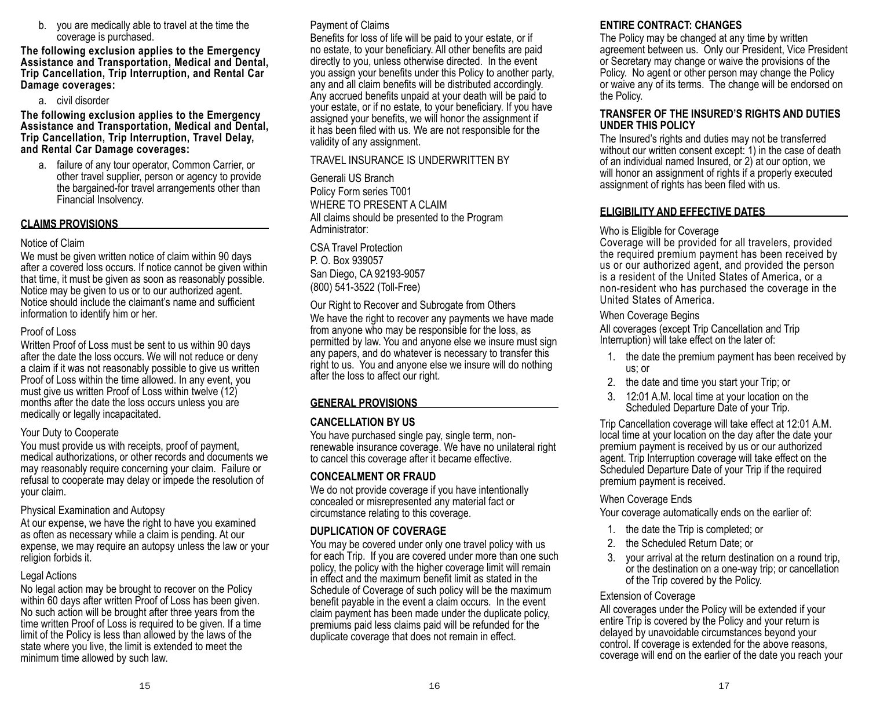b. you are medically able to travel at the time the coverage is purchased.

**The following exclusion applies to the Emergency Assistance and Transportation, Medical and Dental, Trip Cancellation, Trip Interruption, and Rental Car Damage coverages:**

a. civil disorder

**The following exclusion applies to the Emergency Assistance and Transportation, Medical and Dental, Trip Cancellation, Trip Interruption, Travel Delay, and Rental Car Damage coverages:**

a. failure of any tour operator, Common Carrier, or other travel supplier, person or agency to provide the bargained-for travel arrangements other than Financial Insolvency.

#### **CLAIMS PROVISIONS**

#### Notice of Claim

We must be given written notice of claim within 90 days after a covered loss occurs. If notice cannot be given within that time, it must be given as soon as reasonably possible. Notice may be given to us or to our authorized agent. Notice should include the claimant's name and sufficient information to identify him or her.

#### Proof of Loss

Written Proof of Loss must be sent to us within 90 days after the date the loss occurs. We will not reduce or deny a claim if it was not reasonably possible to give us written Proof of Loss within the time allowed. In any event, you must give us written Proof of Loss within twelve (12) months after the date the loss occurs unless you are medically or legally incapacitated.

#### Your Duty to Cooperate

You must provide us with receipts, proof of payment, medical authorizations, or other records and documents we may reasonably require concerning your claim. Failure or refusal to cooperate may delay or impede the resolution of your claim.

#### Physical Examination and Autopsy

At our expense, we have the right to have you examined as often as necessary while a claim is pending. At our expense, we may require an autopsy unless the law or your religion forbids it.

#### Legal Actions

No legal action may be brought to recover on the Policy within 60 days after written Proof of Loss has been given. No such action will be brought after three years from the time written Proof of Loss is required to be given. If a time limit of the Policy is less than allowed by the laws of the state where you live, the limit is extended to meet the minimum time allowed by such law.

#### Payment of Claims

Benefits for loss of life will be paid to your estate, or if no estate, to your beneficiary. All other benefits are paid directly to you, unless otherwise directed. In the event you assign your benefits under this Policy to another party, any and all claim benefits will be distributed accordingly. Any accrued benefits unpaid at your death will be paid to your estate, or if no estate, to your beneficiary. If you have assigned your benefits, we will honor the assignment if it has been filed with us. We are not responsible for the validity of any assignment.

#### TRAVEL INSURANCE IS UNDERWRITTEN BY

Generali US Branch Policy Form series T001 WHERE TO PRESENT A CLAIM All claims should be presented to the Program Administrator:

CSA Travel Protection P. O. Box 939057 San Diego, CA 92193-9057 (800) 541-3522 (Toll-Free)

Our Right to Recover and Subrogate from Others We have the right to recover any payments we have made from anyone who may be responsible for the loss, as permitted by law. You and anyone else we insure must sign any papers, and do whatever is necessary to transfer this right to us. You and anyone else we insure will do nothing after the loss to affect our right.

#### **GENERAL PROVISIONS**

#### **CANCELLATION BY US**

You have purchased single pay, single term, nonrenewable insurance coverage. We have no unilateral right to cancel this coverage after it became effective.

#### **CONCEALMENT OR FRAUD**

We do not provide coverage if you have intentionally concealed or misrepresented any material fact or circumstance relating to this coverage.

#### **DUPLICATION OF COVERAGE**

You may be covered under only one travel policy with us for each Trip. If you are covered under more than one such policy, the policy with the higher coverage limit will remain in effect and the maximum benefit limit as stated in the Schedule of Coverage of such policy will be the maximum benefit payable in the event a claim occurs. In the event claim payment has been made under the duplicate policy, premiums paid less claims paid will be refunded for the duplicate coverage that does not remain in effect.

#### **ENTIRE CONTRACT: CHANGES**

The Policy may be changed at any time by written agreement between us. Only our President, Vice President or Secretary may change or waive the provisions of the Policy. No agent or other person may change the Policy or waive any of its terms. The change will be endorsed on the Policy.

#### **TRANSFER OF THE INSURED'S RIGHTS AND DUTIES UNDER THIS POLICY**

The Insured's rights and duties may not be transferred without our written consent except: 1) in the case of death of an individual named Insured, or 2) at our option, we will honor an assignment of rights if a properly executed assignment of rights has been filed with us.

#### **ELIGIBILITY AND EFFECTIVE DATES**

#### Who is Eligible for Coverage

Coverage will be provided for all travelers, provided the required premium payment has been received by us or our authorized agent, and provided the person is a resident of the United States of America, or a non-resident who has purchased the coverage in the United States of America.

#### When Coverage Begins

All coverages (except Trip Cancellation and Trip Interruption) will take effect on the later of:

- 1. the date the premium payment has been received by us; or
- 2. the date and time you start your Trip; or
- 3. 12:01 A.M. local time at your location on the Scheduled Departure Date of your Trip.

Trip Cancellation coverage will take effect at 12:01 A.M. local time at your location on the day after the date your premium payment is received by us or our authorized agent. Trip Interruption coverage will take effect on the Scheduled Departure Date of your Trip if the required premium payment is received.

#### When Coverage Ends

Your coverage automatically ends on the earlier of:

- 1. the date the Trip is completed; or
- 2. the Scheduled Return Date; or
- 3. your arrival at the return destination on a round trip, or the destination on a one-way trip; or cancellation of the Trip covered by the Policy.

#### Extension of Coverage

All coverages under the Policy will be extended if your entire Trip is covered by the Policy and your return is delayed by unavoidable circumstances beyond your control. If coverage is extended for the above reasons, coverage will end on the earlier of the date you reach your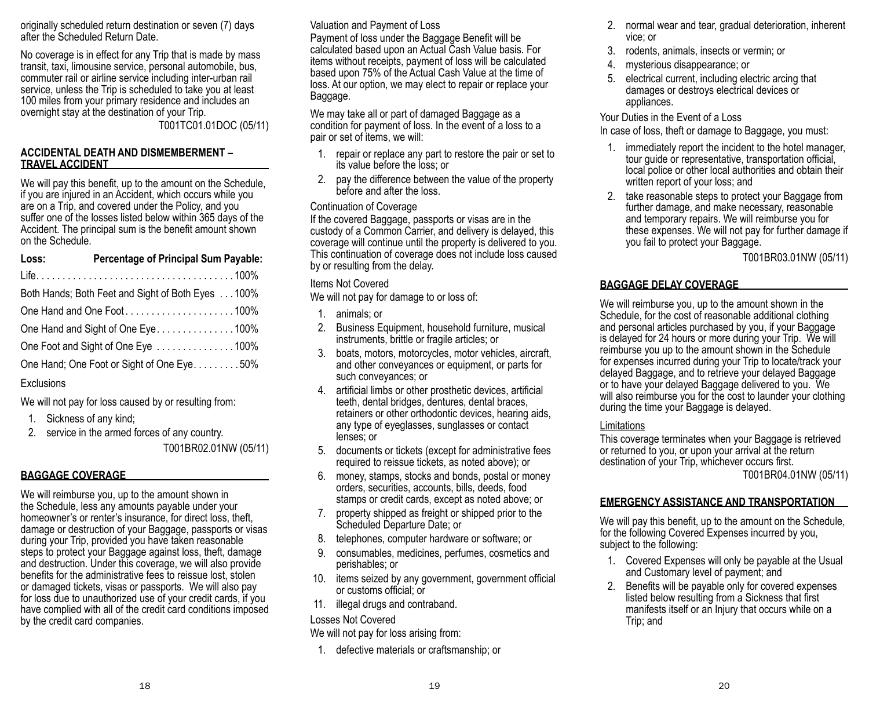originally scheduled return destination or seven (7) days after the Scheduled Return Date.

No coverage is in effect for any Trip that is made by mass transit, taxi, limousine service, personal automobile, bus, commuter rail or airline service including inter-urban rail service, unless the Trip is scheduled to take you at least 100 miles from your primary residence and includes an overnight stay at the destination of your Trip. T001TC01.01DOC (05/11)

#### **ACCIDENTAL DEATH AND DISMEMBERMENT – TRAVEL ACCIDENT**

We will pay this benefit, up to the amount on the Schedule, if you are injured in an Accident, which occurs while you are on a Trip, and covered under the Policy, and you suffer one of the losses listed below within 365 days of the Accident. The principal sum is the benefit amount shown on the Schedule.

| Loss:                             | <b>Percentage of Principal Sum Payable:</b>       |
|-----------------------------------|---------------------------------------------------|
|                                   |                                                   |
|                                   | Both Hands; Both Feet and Sight of Both Eyes 100% |
|                                   | One Hand and One Foot100%                         |
| One Hand and Sight of One Eye100% |                                                   |
|                                   | One Foot and Sight of One Eye 100%                |
|                                   | One Hand; One Foot or Sight of One Eye. 50%       |

### **Exclusions**

We will not pay for loss caused by or resulting from:

- 1. Sickness of any kind;
- 2. service in the armed forces of any country.

T001BR02.01NW (05/11)

### **BAGGAGE COVERAGE**

We will reimburse you, up to the amount shown in the Schedule, less any amounts payable under your homeowner's or renter's insurance, for direct loss, theft, damage or destruction of your Baggage, passports or visas during your Trip, provided you have taken reasonable steps to protect your Baggage against loss, theft, damage and destruction. Under this coverage, we will also provide benefits for the administrative fees to reissue lost, stolen or damaged tickets, visas or passports. We will also pay for loss due to unauthorized use of your credit cards, if you have complied with all of the credit card conditions imposed by the credit card companies.

# Valuation and Payment of Loss

Payment of loss under the Baggage Benefit will be calculated based upon an Actual Cash Value basis. For items without receipts, payment of loss will be calculated based upon 75% of the Actual Cash Value at the time of loss. At our option, we may elect to repair or replace your Baggage.

We may take all or part of damaged Baggage as a condition for payment of loss. In the event of a loss to a pair or set of items, we will:

- 1. repair or replace any part to restore the pair or set to its value before the loss; or
- 2. pay the difference between the value of the property before and after the loss.

### Continuation of Coverage

If the covered Baggage, passports or visas are in the custody of a Common Carrier, and delivery is delayed, this coverage will continue until the property is delivered to you. This continuation of coverage does not include loss caused by or resulting from the delay.

Items Not Covered

We will not pay for damage to or loss of:

- 1. animals; or
- 2. Business Equipment, household furniture, musical instruments, brittle or fragile articles; or
- 3. boats, motors, motorcycles, motor vehicles, aircraft, and other conveyances or equipment, or parts for such conveyances; or
- 4. artificial limbs or other prosthetic devices, artificial teeth, dental bridges, dentures, dental braces, retainers or other orthodontic devices, hearing aids, any type of eyeglasses, sunglasses or contact lenses; or
- 5. documents or tickets (except for administrative fees required to reissue tickets, as noted above); or
- 6. money, stamps, stocks and bonds, postal or money orders, securities, accounts, bills, deeds, food stamps or credit cards, except as noted above; or
- 7. property shipped as freight or shipped prior to the Scheduled Departure Date; or
- 8. telephones, computer hardware or software; or
- 9. consumables, medicines, perfumes, cosmetics and perishables; or
- 10. items seized by any government, government official or customs official; or
- 11. illegal drugs and contraband.

Losses Not Covered

We will not pay for loss arising from:

1. defective materials or craftsmanship; or

- 2. normal wear and tear, gradual deterioration, inherent vice; or
- 3. rodents, animals, insects or vermin; or
- 4. mysterious disappearance; or
- 5. electrical current, including electric arcing that damages or destroys electrical devices or appliances.

Your Duties in the Event of a Loss In case of loss, theft or damage to Baggage, you must:

- 1. immediately report the incident to the hotel manager, tour guide or representative, transportation official, local police or other local authorities and obtain their written report of your loss; and
- 2. take reasonable steps to protect your Baggage from further damage, and make necessary, reasonable and temporary repairs. We will reimburse you for these expenses. We will not pay for further damage if you fail to protect your Baggage.

T001BR03.01NW (05/11)

## **BAGGAGE DELAY COVERAGE**

We will reimburse you, up to the amount shown in the Schedule, for the cost of reasonable additional clothing and personal articles purchased by you, if your Baggage is delayed for 24 hours or more during your Trip. We will reimburse you up to the amount shown in the Schedule for expenses incurred during your Trip to locate/track your delayed Baggage, and to retrieve your delayed Baggage or to have your delayed Baggage delivered to you. We will also reimburse you for the cost to launder your clothing during the time your Baggage is delayed.

### **Limitations**

This coverage terminates when your Baggage is retrieved or returned to you, or upon your arrival at the return destination of your Trip, whichever occurs first. T001BR04.01NW (05/11)

# **EMERGENCY ASSISTANCE AND TRANSPORTATION**

We will pay this benefit, up to the amount on the Schedule, for the following Covered Expenses incurred by you, subject to the following:

- 1. Covered Expenses will only be payable at the Usual and Customary level of payment; and
- 2. Benefits will be payable only for covered expenses listed below resulting from a Sickness that first manifests itself or an Injury that occurs while on a Trip; and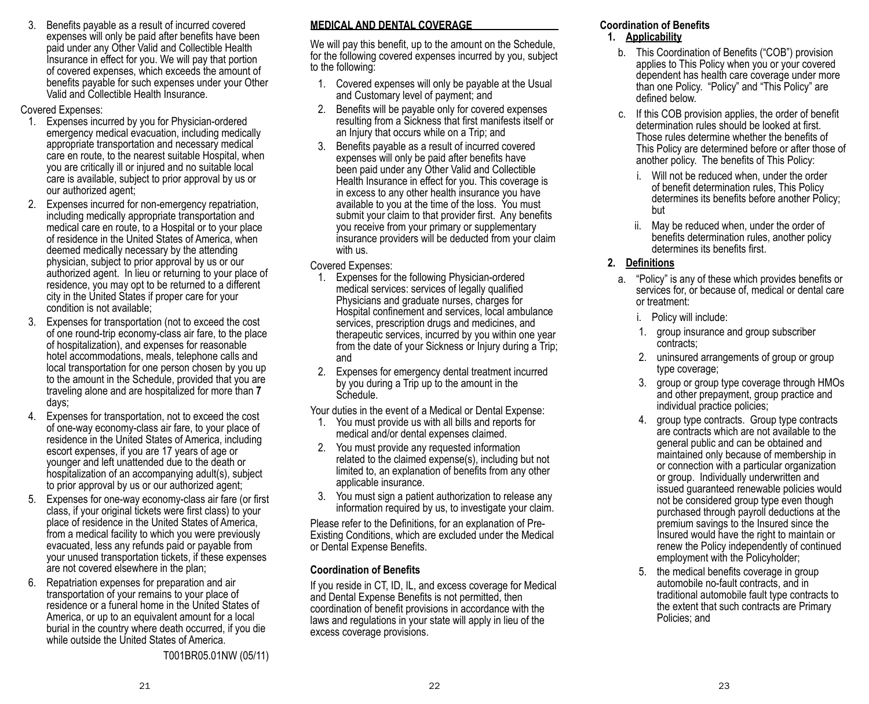3. Benefits payable as a result of incurred covered expenses will only be paid after benefits have been paid under any Other Valid and Collectible Health Insurance in effect for you. We will pay that portion of covered expenses, which exceeds the amount of benefits payable for such expenses under your Other Valid and Collectible Health Insurance.

#### Covered Expenses:

- 1. Expenses incurred by you for Physician-ordered emergency medical evacuation, including medically appropriate transportation and necessary medical care en route, to the nearest suitable Hospital, when you are critically ill or injured and no suitable local care is available, subject to prior approval by us or our authorized agent;
- 2. Expenses incurred for non-emergency repatriation, including medically appropriate transportation and medical care en route, to a Hospital or to your place of residence in the United States of America, when deemed medically necessary by the attending physician, subject to prior approval by us or our authorized agent. In lieu or returning to your place of residence, you may opt to be returned to a different city in the United States if proper care for your condition is not available;
- 3. Expenses for transportation (not to exceed the cost of one round-trip economy-class air fare, to the place of hospitalization), and expenses for reasonable hotel accommodations, meals, telephone calls and local transportation for one person chosen by you up to the amount in the Schedule, provided that you are traveling alone and are hospitalized for more than **7**  days;
- 4. Expenses for transportation, not to exceed the cost of one-way economy-class air fare, to your place of residence in the United States of America, including escort expenses, if you are 17 years of age or younger and left unattended due to the death or hospitalization of an accompanying adult(s), subject to prior approval by us or our authorized agent;
- 5. Expenses for one-way economy-class air fare (or first class, if your original tickets were first class) to your place of residence in the United States of America, from a medical facility to which you were previously evacuated, less any refunds paid or payable from your unused transportation tickets, if these expenses are not covered elsewhere in the plan;
- 6. Repatriation expenses for preparation and air transportation of your remains to your place of residence or a funeral home in the United States of America, or up to an equivalent amount for a local burial in the country where death occurred, if you die while outside the United States of America.

T001BR05.01NW (05/11)

## **MEDICAL AND DENTAL COVERAGE**

We will pay this benefit, up to the amount on the Schedule, for the following covered expenses incurred by you, subject to the following:

- 1. Covered expenses will only be payable at the Usual and Customary level of payment; and
- 2. Benefits will be payable only for covered expenses resulting from a Sickness that first manifests itself or an Injury that occurs while on a Trip; and
- 3. Benefits payable as a result of incurred covered expenses will only be paid after benefits have been paid under any Other Valid and Collectible Health Insurance in effect for you. This coverage is in excess to any other health insurance you have available to you at the time of the loss. You must submit your claim to that provider first. Any benefits you receive from your primary or supplementary insurance providers will be deducted from your claim with us.

#### Covered Expenses:

- 1. Expenses for the following Physician-ordered medical services: services of legally qualified Physicians and graduate nurses, charges for Hospital confinement and services, local ambulance services, prescription drugs and medicines, and therapeutic services, incurred by you within one year from the date of your Sickness or Injury during a Trip; and
- 2. Expenses for emergency dental treatment incurred by you during a Trip up to the amount in the Schedule.

Your duties in the event of a Medical or Dental Expense:

- 1. You must provide us with all bills and reports for medical and/or dental expenses claimed.
- 2. You must provide any requested information related to the claimed expense(s), including but not limited to, an explanation of benefits from any other applicable insurance.
- 3. You must sign a patient authorization to release any information required by us, to investigate your claim.

Please refer to the Definitions, for an explanation of Pre-Existing Conditions, which are excluded under the Medical or Dental Expense Benefits.

#### **Coordination of Benefits**

If you reside in CT, ID, IL, and excess coverage for Medical and Dental Expense Benefits is not permitted, then coordination of benefit provisions in accordance with the laws and regulations in your state will apply in lieu of the excess coverage provisions.

# **Coordination of Benefits**

**1. Applicability**

- b. This Coordination of Benefits ("COB") provision applies to This Policy when you or your covered dependent has health care coverage under more than one Policy. "Policy" and "This Policy" are defined below.
- c. If this COB provision applies, the order of benefit determination rules should be looked at first. Those rules determine whether the benefits of This Policy are determined before or after those of another policy. The benefits of This Policy:
	- i. Will not be reduced when, under the order of benefit determination rules, This Policy determines its benefits before another Policy; but
	- ii. May be reduced when, under the order of benefits determination rules, another policy determines its benefits first.

### **2. Definitions**

- a. "Policy" is any of these which provides benefits or services for, or because of, medical or dental care or treatment:
	- i. Policy will include:
	- 1. group insurance and group subscriber contracts;
	- 2. uninsured arrangements of group or group type coverage;
	- 3. group or group type coverage through HMOs and other prepayment, group practice and individual practice policies;
	- 4. group type contracts. Group type contracts are contracts which are not available to the general public and can be obtained and maintained only because of membership in or connection with a particular organization or group. Individually underwritten and issued guaranteed renewable policies would not be considered group type even though purchased through payroll deductions at the premium savings to the Insured since the Insured would have the right to maintain or renew the Policy independently of continued employment with the Policyholder;
	- 5. the medical benefits coverage in group automobile no-fault contracts, and in traditional automobile fault type contracts to the extent that such contracts are Primary Policies; and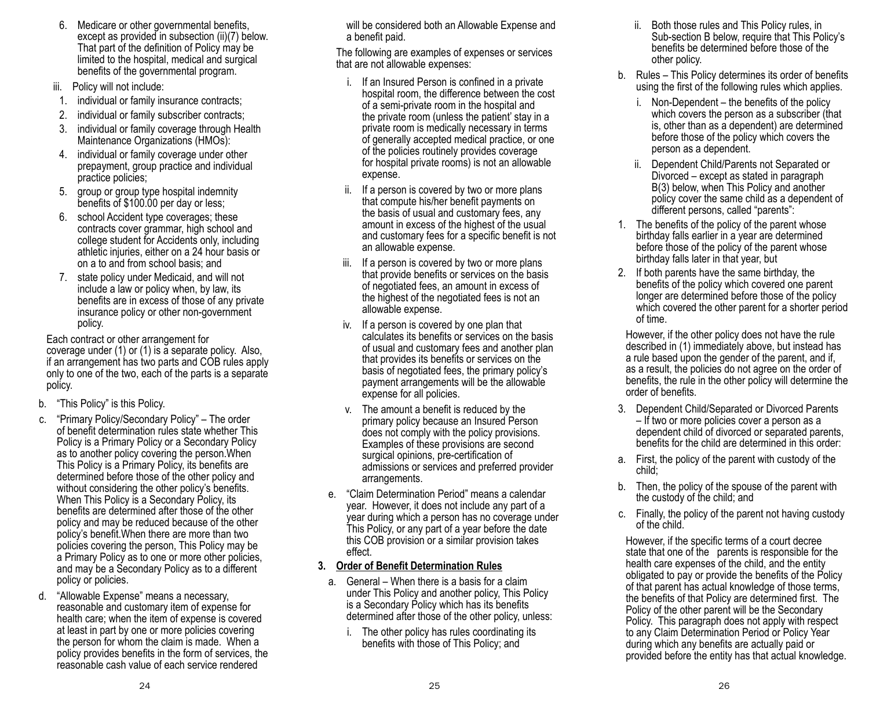- 6. Medicare or other governmental benefits, except as provided in subsection (ii)(7) below. That part of the definition of Policy may be limited to the hospital, medical and surgical benefits of the governmental program.
- iii. Policy will not include:
- 1. individual or family insurance contracts;
- 2. individual or family subscriber contracts;
- 3. individual or family coverage through Health Maintenance Organizations (HMOs):
- 4. individual or family coverage under other prepayment, group practice and individual practice policies;
- 5. group or group type hospital indemnity benefits of \$100.00 per day or less;
- 6. school Accident type coverages; these contracts cover grammar, high school and college student for Accidents only, including athletic injuries, either on a 24 hour basis or on a to and from school basis; and
- 7. state policy under Medicaid, and will not include a law or policy when, by law, its benefits are in excess of those of any private insurance policy or other non-government policy.

Each contract or other arrangement for coverage under (1) or (1) is a separate policy. Also, if an arrangement has two parts and COB rules apply only to one of the two, each of the parts is a separate policy.

- b. "This Policy" is this Policy.
- c. "Primary Policy/Secondary Policy" The order of benefit determination rules state whether This Policy is a Primary Policy or a Secondary Policy as to another policy covering the person.When This Policy is a Primary Policy, its benefits are determined before those of the other policy and without considering the other policy's benefits. When This Policy is a Secondary Policy, its benefits are determined after those of the other policy and may be reduced because of the other policy's benefit.When there are more than two policies covering the person, This Policy may be a Primary Policy as to one or more other policies, and may be a Secondary Policy as to a different policy or policies.
- d. "Allowable Expense" means a necessary, reasonable and customary item of expense for health care; when the item of expense is covered at least in part by one or more policies covering the person for whom the claim is made. When a policy provides benefits in the form of services, the reasonable cash value of each service rendered

will be considered both an Allowable Expense and a benefit paid.

The following are examples of expenses or services that are not allowable expenses:

- i. If an Insured Person is confined in a private hospital room, the difference between the cost of a semi-private room in the hospital and the private room (unless the patient' stay in a private room is medically necessary in terms of generally accepted medical practice, or one of the policies routinely provides coverage for hospital private rooms) is not an allowable expense.
- ii. If a person is covered by two or more plans that compute his/her benefit payments on the basis of usual and customary fees, any amount in excess of the highest of the usual and customary fees for a specific benefit is not an allowable expense.
- iii. If a person is covered by two or more plans that provide benefits or services on the basis of negotiated fees, an amount in excess of the highest of the negotiated fees is not an allowable expense.
- iv. If a person is covered by one plan that calculates its benefits or services on the basis of usual and customary fees and another plan that provides its benefits or services on the basis of negotiated fees, the primary policy's payment arrangements will be the allowable expense for all policies.
- v. The amount a benefit is reduced by the primary policy because an Insured Person does not comply with the policy provisions. Examples of these provisions are second surgical opinions, pre-certification of admissions or services and preferred provider arrangements.
- e. "Claim Determination Period" means a calendar year. However, it does not include any part of a year during which a person has no coverage under This Policy, or any part of a year before the date this COB provision or a similar provision takes effect.

### **3. Order of Benefit Determination Rules**

- a. General When there is a basis for a claim under This Policy and another policy, This Policy is a Secondary Policy which has its benefits determined after those of the other policy, unless:
	- i. The other policy has rules coordinating its benefits with those of This Policy; and
- ii. Both those rules and This Policy rules, in Sub-section B below, require that This Policy's benefits be determined before those of the other policy.
- b. Rules This Policy determines its order of benefits using the first of the following rules which applies.
	- i. Non-Dependent the benefits of the policy which covers the person as a subscriber (that is, other than as a dependent) are determined before those of the policy which covers the person as a dependent.
	- ii. Dependent Child/Parents not Separated or Divorced – except as stated in paragraph B(3) below, when This Policy and another policy cover the same child as a dependent of different persons, called "parents":
- 1. The benefits of the policy of the parent whose birthday falls earlier in a year are determined before those of the policy of the parent whose birthday falls later in that year, but
- 2. If both parents have the same birthday, the benefits of the policy which covered one parent longer are determined before those of the policy which covered the other parent for a shorter period of time.

However, if the other policy does not have the rule described in (1) immediately above, but instead has a rule based upon the gender of the parent, and if, as a result, the policies do not agree on the order of benefits, the rule in the other policy will determine the order of benefits.

- 3. Dependent Child/Separated or Divorced Parents – If two or more policies cover a person as a dependent child of divorced or separated parents, benefits for the child are determined in this order:
- a. First, the policy of the parent with custody of the child;
- b. Then, the policy of the spouse of the parent with the custody of the child; and
- c. Finally, the policy of the parent not having custody of the child.

However, if the specific terms of a court decree state that one of the parents is responsible for the health care expenses of the child, and the entity obligated to pay or provide the benefits of the Policy of that parent has actual knowledge of those terms, the benefits of that Policy are determined first. The Policy of the other parent will be the Secondary Policy. This paragraph does not apply with respect to any Claim Determination Period or Policy Year during which any benefits are actually paid or provided before the entity has that actual knowledge.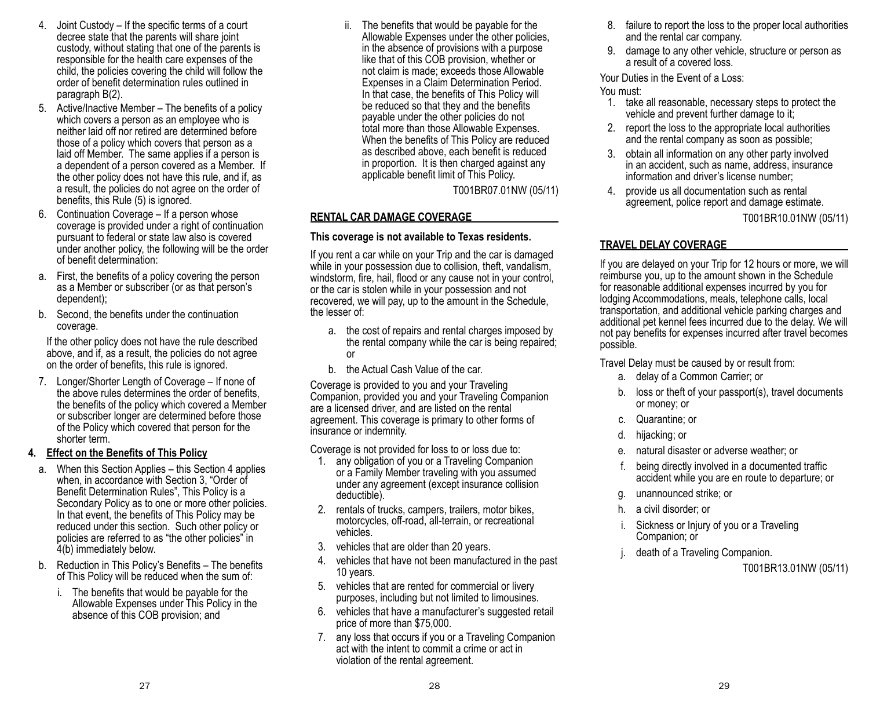- 4. Joint Custody If the specific terms of a court decree state that the parents will share joint custody, without stating that one of the parents is responsible for the health care expenses of the child, the policies covering the child will follow the order of benefit determination rules outlined in paragraph B(2).
- 5. Active/Inactive Member The benefits of a policy which covers a person as an employee who is neither laid off nor retired are determined before those of a policy which covers that person as a laid off Member. The same applies if a person is a dependent of a person covered as a Member. If the other policy does not have this rule, and if, as a result, the policies do not agree on the order of benefits, this Rule (5) is ignored.
- 6. Continuation Coverage If a person whose coverage is provided under a right of continuation pursuant to federal or state law also is covered under another policy, the following will be the order of benefit determination:
- a. First, the benefits of a policy covering the person as a Member or subscriber (or as that person's dependent);
- b. Second, the benefits under the continuation coverage.

If the other policy does not have the rule described above, and if, as a result, the policies do not agree on the order of benefits, this rule is ignored.

7. Longer/Shorter Length of Coverage – If none of the above rules determines the order of benefits, the benefits of the policy which covered a Member or subscriber longer are determined before those of the Policy which covered that person for the shorter term.

#### **4. Effect on the Benefits of This Policy**

- a. When this Section Applies this Section 4 applies when, in accordance with Section 3, "Order of Benefit Determination Rules", This Policy is a Secondary Policy as to one or more other policies. In that event, the benefits of This Policy may be reduced under this section. Such other policy or policies are referred to as "the other policies" in 4(b) immediately below.
- b. Reduction in This Policy's Benefits The benefits of This Policy will be reduced when the sum of:
	- i. The benefits that would be payable for the Allowable Expenses under This Policy in the absence of this COB provision; and

ii. The benefits that would be payable for the Allowable Expenses under the other policies, in the absence of provisions with a purpose like that of this COB provision, whether or not claim is made; exceeds those Allowable Expenses in a Claim Determination Period. In that case, the benefits of This Policy will be reduced so that they and the benefits payable under the other policies do not total more than those Allowable Expenses. When the benefits of This Policy are reduced as described above, each benefit is reduced in proportion. It is then charged against any applicable benefit limit of This Policy.

T001BR07.01NW (05/11)

### **RENTAL CAR DAMAGE COVERAGE**

#### **This coverage is not available to Texas residents.**

If you rent a car while on your Trip and the car is damaged while in your possession due to collision, theft, vandalism, windstorm, fire, hail, flood or any cause not in your control, or the car is stolen while in your possession and not recovered, we will pay, up to the amount in the Schedule, the lesser of:

- a. the cost of repairs and rental charges imposed by the rental company while the car is being repaired; or
- b. the Actual Cash Value of the car.

Coverage is provided to you and your Traveling Companion, provided you and your Traveling Companion are a licensed driver, and are listed on the rental agreement. This coverage is primary to other forms of insurance or indemnity.

Coverage is not provided for loss to or loss due to:

- 1. any obligation of you or a Traveling Companion or a Family Member traveling with you assumed under any agreement (except insurance collision deductible).
- 2. rentals of trucks, campers, trailers, motor bikes, motorcycles, off-road, all-terrain, or recreational vehicles.
- 3. vehicles that are older than 20 years.
- 4. vehicles that have not been manufactured in the past 10 years.
- 5. vehicles that are rented for commercial or livery purposes, including but not limited to limousines.
- 6. vehicles that have a manufacturer's suggested retail price of more than \$75,000.
- 7. any loss that occurs if you or a Traveling Companion act with the intent to commit a crime or act in violation of the rental agreement.
- 8. failure to report the loss to the proper local authorities and the rental car company.
- 9. damage to any other vehicle, structure or person as a result of a covered loss.

Your Duties in the Event of a Loss:

### You must:

- 1. take all reasonable, necessary steps to protect the vehicle and prevent further damage to it;
- 2. report the loss to the appropriate local authorities and the rental company as soon as possible;
- 3. obtain all information on any other party involved in an accident, such as name, address, insurance information and driver's license number;
- 4. provide us all documentation such as rental agreement, police report and damage estimate.

T001BR10.01NW (05/11)

### **TRAVEL DELAY COVERAGE**

If you are delayed on your Trip for 12 hours or more, we will reimburse you, up to the amount shown in the Schedule for reasonable additional expenses incurred by you for lodging Accommodations, meals, telephone calls, local transportation, and additional vehicle parking charges and additional pet kennel fees incurred due to the delay. We will not pay benefits for expenses incurred after travel becomes possible.

Travel Delay must be caused by or result from:

- a. delay of a Common Carrier; or
- b. loss or theft of your passport(s), travel documents or money; or
- c. Quarantine; or
- d. hijacking; or
- e. natural disaster or adverse weather; or
- f. being directly involved in a documented traffic accident while you are en route to departure; or
- g. unannounced strike; or
- h. a civil disorder; or
- Sickness or Injury of you or a Traveling Companion; or
- death of a Traveling Companion.

T001BR13.01NW (05/11)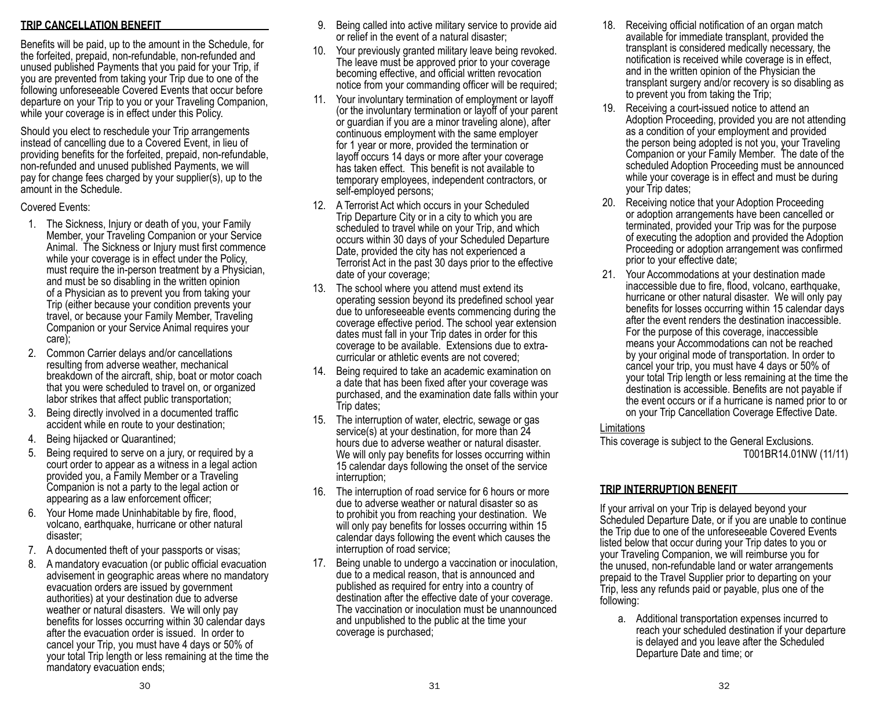### **TRIP CANCELLATION BENEFIT**

Benefits will be paid, up to the amount in the Schedule, for the forfeited, prepaid, non-refundable, non-refunded and unused published Payments that you paid for your Trip, if you are prevented from taking your Trip due to one of the following unforeseeable Covered Events that occur before departure on your Trip to you or your Traveling Companion, while your coverage is in effect under this Policy.

Should you elect to reschedule your Trip arrangements instead of cancelling due to a Covered Event, in lieu of providing benefits for the forfeited, prepaid, non-refundable, non-refunded and unused published Payments, we will pay for change fees charged by your supplier(s), up to the amount in the Schedule.

#### Covered Events:

- 1. The Sickness, Injury or death of you, your Family Member, your Traveling Companion or your Service Animal. The Sickness or Injury must first commence while your coverage is in effect under the Policy, must require the in-person treatment by a Physician, and must be so disabling in the written opinion of a Physician as to prevent you from taking your Trip (either because your condition prevents your travel, or because your Family Member, Traveling Companion or your Service Animal requires your care);
- 2. Common Carrier delays and/or cancellations resulting from adverse weather, mechanical breakdown of the aircraft, ship, boat or motor coach that you were scheduled to travel on, or organized labor strikes that affect public transportation;
- 3. Being directly involved in a documented traffic accident while en route to your destination;
- 4. Being hijacked or Quarantined;
- 5. Being required to serve on a jury, or required by a court order to appear as a witness in a legal action provided you, a Family Member or a Traveling Companion is not a party to the legal action or appearing as a law enforcement officer;
- 6. Your Home made Uninhabitable by fire, flood, volcano, earthquake, hurricane or other natural disaster;
- 7. A documented theft of your passports or visas;
- 8. A mandatory evacuation (or public official evacuation advisement in geographic areas where no mandatory evacuation orders are issued by government authorities) at your destination due to adverse weather or natural disasters. We will only pay benefits for losses occurring within 30 calendar days after the evacuation order is issued. In order to cancel your Trip, you must have 4 days or 50% of your total Trip length or less remaining at the time the mandatory evacuation ends;
- 9. Being called into active military service to provide aid or relief in the event of a natural disaster;
- 10. Your previously granted military leave being revoked. The leave must be approved prior to your coverage becoming effective, and official written revocation notice from your commanding officer will be required;
- 11. Your involuntary termination of employment or layoff (or the involuntary termination or layoff of your parent or guardian if you are a minor traveling alone), after continuous employment with the same employer for 1 year or more, provided the termination or layoff occurs 14 days or more after your coverage has taken effect. This benefit is not available to temporary employees, independent contractors, or self-employed persons;
- 12. A Terrorist Act which occurs in your Scheduled Trip Departure City or in a city to which you are scheduled to travel while on your Trip, and which occurs within 30 days of your Scheduled Departure Date, provided the city has not experienced a Terrorist Act in the past 30 days prior to the effective date of your coverage;
- 13. The school where you attend must extend its operating session beyond its predefined school year due to unforeseeable events commencing during the coverage effective period. The school year extension dates must fall in your Trip dates in order for this coverage to be available. Extensions due to extracurricular or athletic events are not covered;
- 14. Being required to take an academic examination on a date that has been fixed after your coverage was purchased, and the examination date falls within your Trip dates;
- 15. The interruption of water, electric, sewage or gas service(s) at your destination, for more than 24 hours due to adverse weather or natural disaster. We will only pay benefits for losses occurring within 15 calendar days following the onset of the service interruption;
- 16. The interruption of road service for 6 hours or more due to adverse weather or natural disaster so as to prohibit you from reaching your destination. We will only pay benefits for losses occurring within 15 calendar days following the event which causes the interruption of road service;
- 17. Being unable to undergo a vaccination or inoculation, due to a medical reason, that is announced and published as required for entry into a country of destination after the effective date of your coverage. The vaccination or inoculation must be unannounced and unpublished to the public at the time your coverage is purchased;
- 18. Receiving official notification of an organ match available for immediate transplant, provided the transplant is considered medically necessary, the notification is received while coverage is in effect, and in the written opinion of the Physician the transplant surgery and/or recovery is so disabling as to prevent you from taking the Trip;
- 19. Receiving a court-issued notice to attend an Adoption Proceeding, provided you are not attending as a condition of your employment and provided the person being adopted is not you, your Traveling Companion or your Family Member. The date of the scheduled Adoption Proceeding must be announced while your coverage is in effect and must be during your Trip dates;
- 20. Receiving notice that your Adoption Proceeding or adoption arrangements have been cancelled or terminated, provided your Trip was for the purpose of executing the adoption and provided the Adoption Proceeding or adoption arrangement was confirmed prior to your effective date;
- 21. Your Accommodations at your destination made inaccessible due to fire, flood, volcano, earthquake, hurricane or other natural disaster. We will only pay benefits for losses occurring within 15 calendar days after the event renders the destination inaccessible. For the purpose of this coverage, inaccessible means your Accommodations can not be reached by your original mode of transportation. In order to cancel your trip, you must have 4 days or 50% of your total Trip length or less remaining at the time the destination is accessible. Benefits are not payable if the event occurs or if a hurricane is named prior to or on your Trip Cancellation Coverage Effective Date.

#### **Limitations**

This coverage is subject to the General Exclusions. T001BR14.01NW (11/11)

### **TRIP INTERRUPTION BENEFIT**

If your arrival on your Trip is delayed beyond your Scheduled Departure Date, or if you are unable to continue the Trip due to one of the unforeseeable Covered Events listed below that occur during your Trip dates to you or your Traveling Companion, we will reimburse you for the unused, non-refundable land or water arrangements prepaid to the Travel Supplier prior to departing on your Trip, less any refunds paid or payable, plus one of the following:

a. Additional transportation expenses incurred to reach your scheduled destination if your departure is delayed and you leave after the Scheduled Departure Date and time; or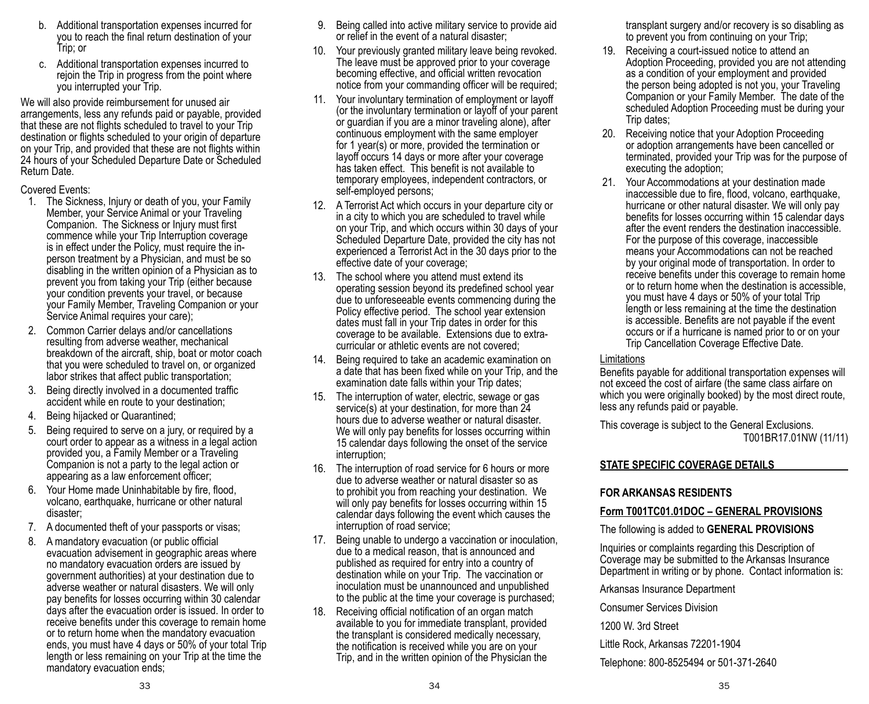- b. Additional transportation expenses incurred for you to reach the final return destination of your Trip; or
- c. Additional transportation expenses incurred to rejoin the Trip in progress from the point where you interrupted your Trip.

We will also provide reimbursement for unused air arrangements, less any refunds paid or payable, provided that these are not flights scheduled to travel to your Trip destination or flights scheduled to your origin of departure on your Trip, and provided that these are not flights within 24 hours of your Scheduled Departure Date or Scheduled Return Date.

Covered Events:

- 1. The Sickness, Injury or death of you, your Family Member, your Service Animal or your Traveling Companion. The Sickness or Injury must first commence while your Trip Interruption coverage is in effect under the Policy, must require the inperson treatment by a Physician, and must be so disabling in the written opinion of a Physician as to prevent you from taking your Trip (either because your condition prevents your travel, or because your Family Member, Traveling Companion or your Service Animal requires your care);
- 2. Common Carrier delays and/or cancellations resulting from adverse weather, mechanical breakdown of the aircraft, ship, boat or motor coach that you were scheduled to travel on, or organized labor strikes that affect public transportation;
- 3. Being directly involved in a documented traffic accident while en route to your destination;
- 4. Being hijacked or Quarantined;
- 5. Being required to serve on a jury, or required by a court order to appear as a witness in a legal action provided you, a Family Member or a Traveling Companion is not a party to the legal action or appearing as a law enforcement officer;
- 6. Your Home made Uninhabitable by fire, flood, volcano, earthquake, hurricane or other natural disaster;
- 7. A documented theft of your passports or visas;
- 8. A mandatory evacuation (or public official evacuation advisement in geographic areas where no mandatory evacuation orders are issued by government authorities) at your destination due to adverse weather or natural disasters. We will only pay benefits for losses occurring within 30 calendar days after the evacuation order is issued. In order to receive benefits under this coverage to remain home or to return home when the mandatory evacuation ends, you must have 4 days or 50% of your total Trip length or less remaining on your Trip at the time the mandatory evacuation ends;
- 9. Being called into active military service to provide aid or relief in the event of a natural disaster;
- 10. Your previously granted military leave being revoked. The leave must be approved prior to your coverage becoming effective, and official written revocation notice from your commanding officer will be required;
- 11. Your involuntary termination of employment or layoff (or the involuntary termination or layoff of your parent or guardian if you are a minor traveling alone), after continuous employment with the same employer for 1 year(s) or more, provided the termination or layoff occurs 14 days or more after your coverage has taken effect. This benefit is not available to temporary employees, independent contractors, or self-employed persons;
- 12. A Terrorist Act which occurs in your departure city or in a city to which you are scheduled to travel while on your Trip, and which occurs within 30 days of your Scheduled Departure Date, provided the city has not experienced a Terrorist Act in the 30 days prior to the effective date of your coverage;
- 13. The school where you attend must extend its operating session beyond its predefined school year due to unforeseeable events commencing during the Policy effective period. The school year extension dates must fall in your Trip dates in order for this coverage to be available. Extensions due to extracurricular or athletic events are not covered;
- 14. Being required to take an academic examination on a date that has been fixed while on your Trip, and the examination date falls within your Trip dates;
- 15. The interruption of water, electric, sewage or gas service(s) at your destination, for more than 24 hours due to adverse weather or natural disaster. We will only pay benefits for losses occurring within 15 calendar days following the onset of the service interruption;
- 16. The interruption of road service for 6 hours or more due to adverse weather or natural disaster so as to prohibit you from reaching your destination. We will only pay benefits for losses occurring within 15 calendar days following the event which causes the interruption of road service;
- 17. Being unable to undergo a vaccination or inoculation, due to a medical reason, that is announced and published as required for entry into a country of destination while on your Trip. The vaccination or inoculation must be unannounced and unpublished to the public at the time your coverage is purchased;
- 18. Receiving official notification of an organ match available to you for immediate transplant, provided the transplant is considered medically necessary, the notification is received while you are on your Trip, and in the written opinion of the Physician the

transplant surgery and/or recovery is so disabling as to prevent you from continuing on your Trip;

- 19. Receiving a court-issued notice to attend an Adoption Proceeding, provided you are not attending as a condition of your employment and provided the person being adopted is not you, your Traveling Companion or your Family Member. The date of the scheduled Adoption Proceeding must be during your Trip dates;
- 20. Receiving notice that your Adoption Proceeding or adoption arrangements have been cancelled or terminated, provided your Trip was for the purpose of executing the adoption;
- 21. Your Accommodations at your destination made inaccessible due to fire, flood, volcano, earthquake, hurricane or other natural disaster. We will only pay benefits for losses occurring within 15 calendar days after the event renders the destination inaccessible. For the purpose of this coverage, inaccessible means your Accommodations can not be reached by your original mode of transportation. In order to receive benefits under this coverage to remain home or to return home when the destination is accessible, you must have 4 days or 50% of your total Trip length or less remaining at the time the destination is accessible. Benefits are not payable if the event occurs or if a hurricane is named prior to or on your Trip Cancellation Coverage Effective Date.

### Limitations

Benefits payable for additional transportation expenses will not exceed the cost of airfare (the same class airfare on which you were originally booked) by the most direct route, less any refunds paid or payable.

This coverage is subject to the General Exclusions. T001BR17.01NW (11/11)

### **STATE SPECIFIC COVERAGE DETAILS**

# **FOR ARKANSAS RESIDENTS**

# **Form T001TC01.01DOC – GENERAL PROVISIONS**

The following is added to **GENERAL PROVISIONS**

Inquiries or complaints regarding this Description of Coverage may be submitted to the Arkansas Insurance Department in writing or by phone. Contact information is:

Arkansas Insurance Department

Consumer Services Division

1200 W. 3rd Street

Little Rock, Arkansas 72201-1904

Telephone: 800-8525494 or 501-371-2640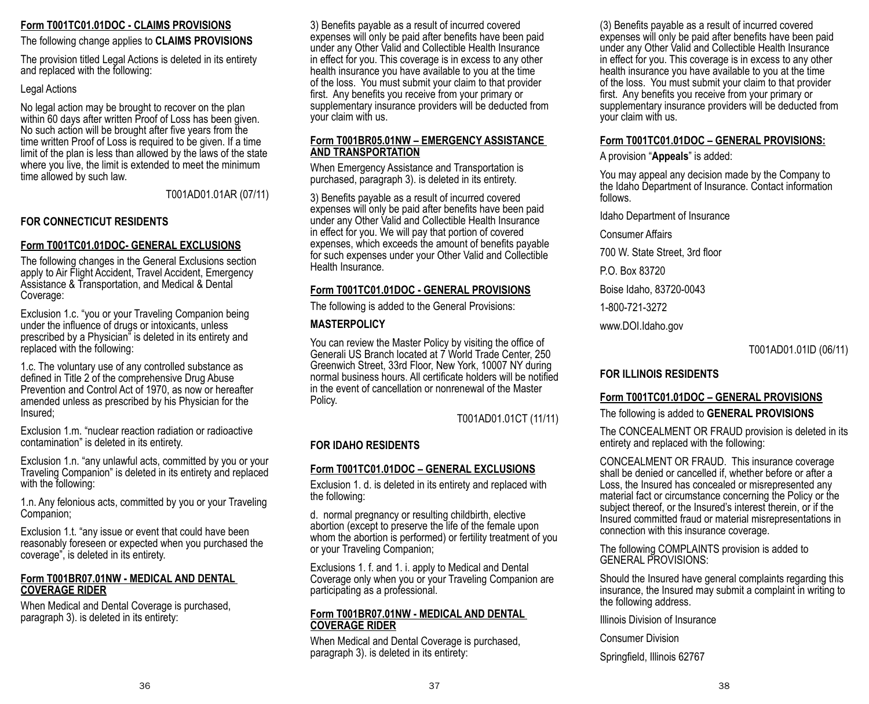#### **Form T001TC01.01DOC - CLAIMS PROVISIONS**

#### The following change applies to **CLAIMS PROVISIONS**

The provision titled Legal Actions is deleted in its entirety and replaced with the following:

#### Legal Actions

No legal action may be brought to recover on the plan within 60 days after written Proof of Loss has been given. No such action will be brought after five years from the time written Proof of Loss is required to be given. If a time limit of the plan is less than allowed by the laws of the state where you live, the limit is extended to meet the minimum time allowed by such law.

T001AD01.01AR (07/11)

# **FOR CONNECTICUT RESIDENTS**

## **Form T001TC01.01DOC- GENERAL EXCLUSIONS**

The following changes in the General Exclusions section apply to Air Flight Accident, Travel Accident, Emergency Assistance & Transportation, and Medical & Dental Coverage:

Exclusion 1.c. "you or your Traveling Companion being under the influence of drugs or intoxicants, unless prescribed by a Physician" is deleted in its entirety and replaced with the following:

1.c. The voluntary use of any controlled substance as defined in Title 2 of the comprehensive Drug Abuse Prevention and Control Act of 1970, as now or hereafter amended unless as prescribed by his Physician for the Insured;

Exclusion 1.m. "nuclear reaction radiation or radioactive contamination" is deleted in its entirety.

Exclusion 1.n. "any unlawful acts, committed by you or your Traveling Companion" is deleted in its entirety and replaced with the following:

1.n. Any felonious acts, committed by you or your Traveling Companion;

Exclusion 1.t. "any issue or event that could have been reasonably foreseen or expected when you purchased the coverage", is deleted in its entirety.

#### **Form T001BR07.01NW - MEDICAL AND DENTAL COVERAGE RIDER**

When Medical and Dental Coverage is purchased, paragraph 3). is deleted in its entirety:

3) Benefits payable as a result of incurred covered expenses will only be paid after benefits have been paid under any Other Valid and Collectible Health Insurance in effect for you. This coverage is in excess to any other health insurance you have available to you at the time of the loss. You must submit your claim to that provider first. Any benefits you receive from your primary or supplementary insurance providers will be deducted from your claim with us.

#### **Form T001BR05.01NW – EMERGENCY ASSISTANCE AND TRANSPORTATION**

When Emergency Assistance and Transportation is purchased, paragraph 3). is deleted in its entirety.

3) Benefits payable as a result of incurred covered expenses will only be paid after benefits have been paid under any Other Valid and Collectible Health Insurance in effect for you. We will pay that portion of covered expenses, which exceeds the amount of benefits payable for such expenses under your Other Valid and Collectible Health Insurance.

## **Form T001TC01.01DOC - GENERAL PROVISIONS**

The following is added to the General Provisions:

## **MASTERPOLICY**

You can review the Master Policy by visiting the office of Generali US Branch located at 7 World Trade Center, 250 Greenwich Street, 33rd Floor, New York, 10007 NY during normal business hours. All certificate holders will be notified in the event of cancellation or nonrenewal of the Master Policy.

T001AD01.01CT (11/11)

# **FOR IDAHO RESIDENTS**

# **Form T001TC01.01DOC – GENERAL EXCLUSIONS**

Exclusion 1. d. is deleted in its entirety and replaced with the following:

d. normal pregnancy or resulting childbirth, elective abortion (except to preserve the life of the female upon whom the abortion is performed) or fertility treatment of you or your Traveling Companion;

Exclusions 1. f. and 1. i. apply to Medical and Dental Coverage only when you or your Traveling Companion are participating as a professional.

#### **Form T001BR07.01NW - MEDICAL AND DENTAL COVERAGE RIDER**

When Medical and Dental Coverage is purchased, paragraph 3). is deleted in its entirety:

(3) Benefits payable as a result of incurred covered expenses will only be paid after benefits have been paid under any Other Valid and Collectible Health Insurance in effect for you. This coverage is in excess to any other health insurance you have available to you at the time of the loss. You must submit your claim to that provider first. Any benefits you receive from your primary or supplementary insurance providers will be deducted from your claim with us.

### **Form T001TC01.01DOC – GENERAL PROVISIONS:**

A provision "**Appeals**" is added:

You may appeal any decision made by the Company to the Idaho Department of Insurance. Contact information follows.

Idaho Department of Insurance

Consumer Affairs

700 W. State Street, 3rd floor

P.O. Box 83720

Boise Idaho, 83720-0043

1-800-721-3272

www.DOI.Idaho.gov

T001AD01.01ID (06/11)

# **FOR ILLINOIS RESIDENTS**

# **Form T001TC01.01DOC – GENERAL PROVISIONS**

The following is added to **GENERAL PROVISIONS**

The CONCEALMENT OR FRAUD provision is deleted in its entirety and replaced with the following:

CONCEALMENT OR FRAUD. This insurance coverage shall be denied or cancelled if, whether before or after a Loss, the Insured has concealed or misrepresented any material fact or circumstance concerning the Policy or the subject thereof, or the Insured's interest therein, or if the Insured committed fraud or material misrepresentations in connection with this insurance coverage.

The following COMPLAINTS provision is added to GENERAL PROVISIONS:

Should the Insured have general complaints regarding this insurance, the Insured may submit a complaint in writing to the following address.

Illinois Division of Insurance

Consumer Division

Springfield, Illinois 62767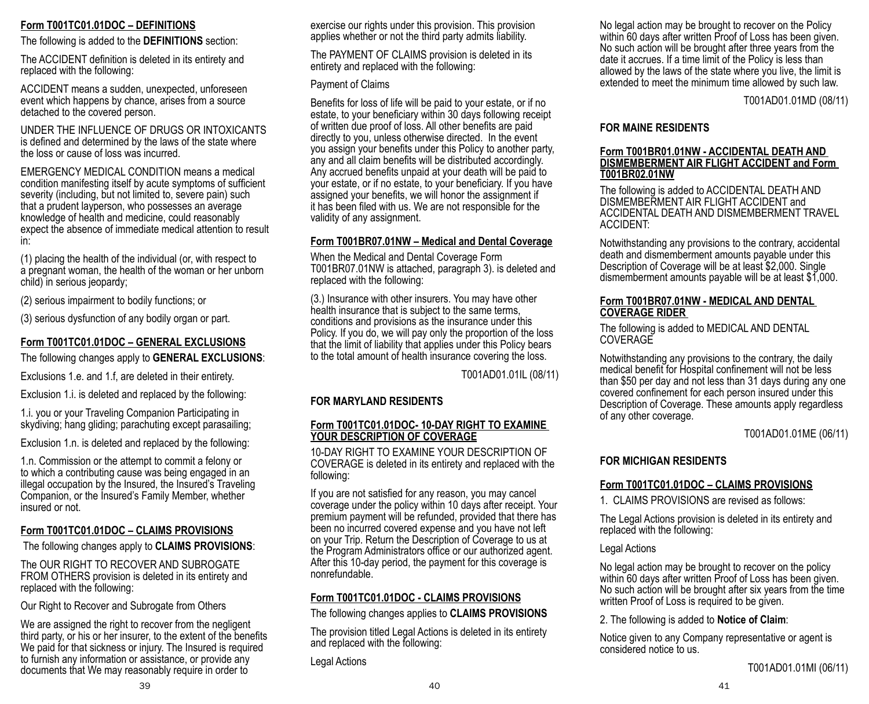### **Form T001TC01.01DOC – DEFINITIONS**

The following is added to the **DEFINITIONS** section:

The ACCIDENT definition is deleted in its entirety and replaced with the following:

ACCIDENT means a sudden, unexpected, unforeseen event which happens by chance, arises from a source detached to the covered person.

UNDER THE INFLUENCE OF DRUGS OR INTOXICANTS is defined and determined by the laws of the state where the loss or cause of loss was incurred.

EMERGENCY MEDICAL CONDITION means a medical condition manifesting itself by acute symptoms of sufficient severity (including, but not limited to, severe pain) such that a prudent layperson, who possesses an average knowledge of health and medicine, could reasonably expect the absence of immediate medical attention to result in:

(1) placing the health of the individual (or, with respect to a pregnant woman, the health of the woman or her unborn child) in serious jeopardy;

(2) serious impairment to bodily functions; or

(3) serious dysfunction of any bodily organ or part.

# **Form T001TC01.01DOC – GENERAL EXCLUSIONS**

The following changes apply to **GENERAL EXCLUSIONS**:

Exclusions 1.e. and 1.f, are deleted in their entirety.

Exclusion 1.i. is deleted and replaced by the following:

1.i. you or your Traveling Companion Participating in skydiving; hang gliding; parachuting except parasailing;

Exclusion 1.n. is deleted and replaced by the following:

1.n. Commission or the attempt to commit a felony or to which a contributing cause was being engaged in an illegal occupation by the Insured, the Insured's Traveling Companion, or the Insured's Family Member, whether insured or not.

### **Form T001TC01.01DOC – CLAIMS PROVISIONS**

The following changes apply to **CLAIMS PROVISIONS**:

The OUR RIGHT TO RECOVER AND SUBROGATE FROM OTHERS provision is deleted in its entirety and replaced with the following:

Our Right to Recover and Subrogate from Others

We are assigned the right to recover from the negligent third party, or his or her insurer, to the extent of the benefits We paid for that sickness or injury. The Insured is required to furnish any information or assistance, or provide any documents that We may reasonably require in order to

exercise our rights under this provision. This provision applies whether or not the third party admits liability.

The PAYMENT OF CLAIMS provision is deleted in its entirety and replaced with the following:

#### Payment of Claims

Benefits for loss of life will be paid to your estate, or if no estate, to your beneficiary within 30 days following receipt of written due proof of loss. All other benefits are paid directly to you, unless otherwise directed. In the event you assign your benefits under this Policy to another party, any and all claim benefits will be distributed accordingly. Any accrued benefits unpaid at your death will be paid to your estate, or if no estate, to your beneficiary. If you have assigned your benefits, we will honor the assignment if it has been filed with us. We are not responsible for the validity of any assignment.

### **Form T001BR07.01NW – Medical and Dental Coverage**

When the Medical and Dental Coverage Form T001BR07.01NW is attached, paragraph 3). is deleted and replaced with the following:

(3.) Insurance with other insurers. You may have other health insurance that is subject to the same terms, conditions and provisions as the insurance under this Policy. If you do, we will pay only the proportion of the loss that the limit of liability that applies under this Policy bears to the total amount of health insurance covering the loss.

T001AD01.01IL (08/11)

### **FOR MARYLAND RESIDENTS**

#### **Form T001TC01.01DOC- 10-DAY RIGHT TO EXAMINE YOUR DESCRIPTION OF COVERAGE**

10-DAY RIGHT TO EXAMINE YOUR DESCRIPTION OF COVERAGE is deleted in its entirety and replaced with the following:

If you are not satisfied for any reason, you may cancel coverage under the policy within 10 days after receipt. Your premium payment will be refunded, provided that there has been no incurred covered expense and you have not left on your Trip. Return the Description of Coverage to us at the Program Administrators office or our authorized agent. After this 10-day period, the payment for this coverage is nonrefundable.

# **Form T001TC01.01DOC - CLAIMS PROVISIONS**

The following changes applies to **CLAIMS PROVISIONS**

The provision titled Legal Actions is deleted in its entirety and replaced with the following:

Legal Actions

No legal action may be brought to recover on the Policy within 60 days after written Proof of Loss has been given. No such action will be brought after three years from the date it accrues. If a time limit of the Policy is less than allowed by the laws of the state where you live, the limit is extended to meet the minimum time allowed by such law.

T001AD01.01MD (08/11)

### **FOR MAINE RESIDENTS**

#### **Form T001BR01.01NW - ACCIDENTAL DEATH AND DISMEMBERMENT AIR FLIGHT ACCIDENT and Form T001BR02.01NW**

The following is added to ACCIDENTAL DEATH AND DISMEMBERMENT AIR FLIGHT ACCIDENT and ACCIDENTAL DEATH AND DISMEMBERMENT TRAVEL ACCIDENT:

Notwithstanding any provisions to the contrary, accidental death and dismemberment amounts payable under this Description of Coverage will be at least \$2,000. Single dismemberment amounts payable will be at least \$1,000.

#### **Form T001BR07.01NW - MEDICAL AND DENTAL COVERAGE RIDER**

The following is added to MEDICAL AND DENTAL **COVERAGE** 

Notwithstanding any provisions to the contrary, the daily medical benefit for Hospital confinement will not be less than \$50 per day and not less than 31 days during any one covered confinement for each person insured under this Description of Coverage. These amounts apply regardless of any other coverage.

T001AD01.01ME (06/11)

# **FOR MICHIGAN RESIDENTS**

# **Form T001TC01.01DOC – CLAIMS PROVISIONS**

1. CLAIMS PROVISIONS are revised as follows:

The Legal Actions provision is deleted in its entirety and replaced with the following:

#### Legal Actions

No legal action may be brought to recover on the policy within 60 days after written Proof of Loss has been given. No such action will be brought after six years from the time written Proof of Loss is required to be given.

2. The following is added to **Notice of Claim**:

Notice given to any Company representative or agent is considered notice to us.

T001AD01.01MI (06/11)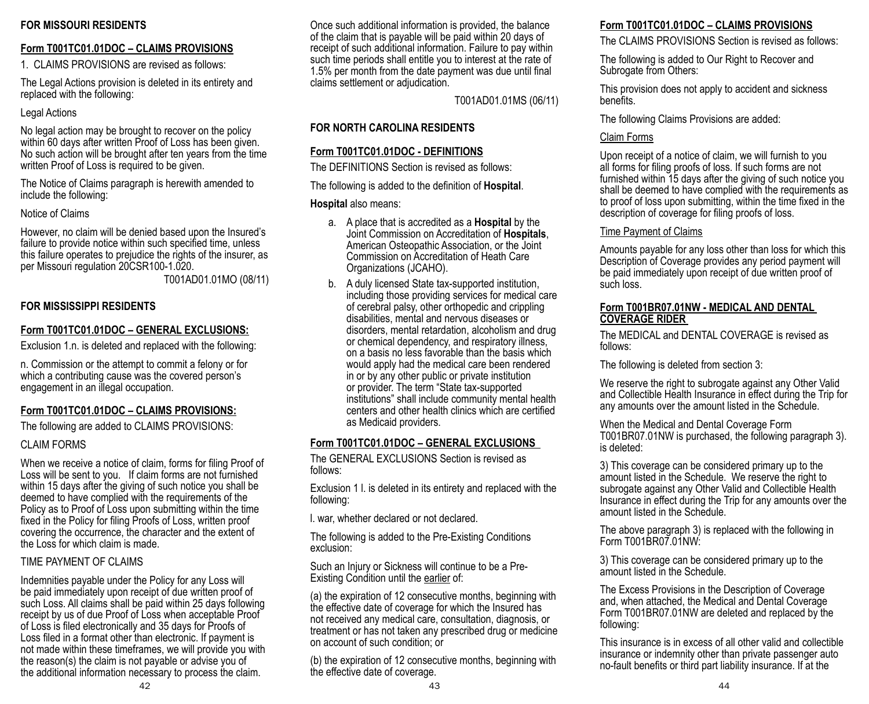### **FOR MISSOURI RESIDENTS**

## **Form T001TC01.01DOC – CLAIMS PROVISIONS**

1. CLAIMS PROVISIONS are revised as follows:

The Legal Actions provision is deleted in its entirety and replaced with the following:

### Legal Actions

No legal action may be brought to recover on the policy within 60 days after written Proof of Loss has been given. No such action will be brought after ten years from the time written Proof of Loss is required to be given.

The Notice of Claims paragraph is herewith amended to include the following:

Notice of Claims

However, no claim will be denied based upon the Insured's failure to provide notice within such specified time, unless this failure operates to prejudice the rights of the insurer, as per Missouri regulation 20CSR100-1.020.

T001AD01.01MO (08/11)

# **FOR MISSISSIPPI RESIDENTS**

## **Form T001TC01.01DOC – GENERAL EXCLUSIONS:**

Exclusion 1.n. is deleted and replaced with the following:

n. Commission or the attempt to commit a felony or for which a contributing cause was the covered person's engagement in an illegal occupation.

# **Form T001TC01.01DOC – CLAIMS PROVISIONS:**

The following are added to CLAIMS PROVISIONS:

### CLAIM FORMS

When we receive a notice of claim, forms for filing Proof of Loss will be sent to you. If claim forms are not furnished within 15 days after the giving of such notice you shall be deemed to have complied with the requirements of the Policy as to Proof of Loss upon submitting within the time fixed in the Policy for filing Proofs of Loss, written proof covering the occurrence, the character and the extent of the Loss for which claim is made.

### TIME PAYMENT OF CLAIMS

Indemnities payable under the Policy for any Loss will be paid immediately upon receipt of due written proof of such Loss. All claims shall be paid within 25 days following receipt by us of due Proof of Loss when acceptable Proof of Loss is filed electronically and 35 days for Proofs of Loss filed in a format other than electronic. If payment is not made within these timeframes, we will provide you with the reason(s) the claim is not payable or advise you of the additional information necessary to process the claim.

Once such additional information is provided, the balance of the claim that is payable will be paid within 20 days of receipt of such additional information. Failure to pay within such time periods shall entitle you to interest at the rate of 1.5% per month from the date payment was due until final claims settlement or adjudication.

T001AD01.01MS (06/11)

# **FOR NORTH CAROLINA RESIDENTS**

# **Form T001TC01.01DOC - DEFINITIONS**

The DEFINITIONS Section is revised as follows:

The following is added to the definition of **Hospital**.

## **Hospital** also means:

- a. A place that is accredited as a **Hospital** by the Joint Commission on Accreditation of **Hospitals**, American Osteopathic Association, or the Joint Commission on Accreditation of Heath Care Organizations (JCAHO).
- b. A duly licensed State tax-supported institution, including those providing services for medical care of cerebral palsy, other orthopedic and crippling disabilities, mental and nervous diseases or disorders, mental retardation, alcoholism and drug or chemical dependency, and respiratory illness, on a basis no less favorable than the basis which would apply had the medical care been rendered in or by any other public or private institution or provider. The term "State tax-supported institutions" shall include community mental health centers and other health clinics which are certified as Medicaid providers.

# **Form T001TC01.01DOC – GENERAL EXCLUSIONS**

The GENERAL EXCLUSIONS Section is revised as follows:

Exclusion 1 l. is deleted in its entirety and replaced with the following:

l. war, whether declared or not declared.

The following is added to the Pre-Existing Conditions exclusion:

Such an Injury or Sickness will continue to be a Pre-Existing Condition until the earlier of:

(a) the expiration of 12 consecutive months, beginning with the effective date of coverage for which the Insured has not received any medical care, consultation, diagnosis, or treatment or has not taken any prescribed drug or medicine on account of such condition; or

(b) the expiration of 12 consecutive months, beginning with the effective date of coverage.

# **Form T001TC01.01DOC – CLAIMS PROVISIONS**

The CLAIMS PROVISIONS Section is revised as follows:

The following is added to Our Right to Recover and Subrogate from Others:

This provision does not apply to accident and sickness benefits.

The following Claims Provisions are added:

## Claim Forms

Upon receipt of a notice of claim, we will furnish to you all forms for filing proofs of loss. If such forms are not furnished within 15 days after the giving of such notice you shall be deemed to have complied with the requirements as to proof of loss upon submitting, within the time fixed in the description of coverage for filing proofs of loss.

# Time Payment of Claims

Amounts payable for any loss other than loss for which this Description of Coverage provides any period payment will be paid immediately upon receipt of due written proof of such loss.

### **Form T001BR07.01NW - MEDICAL AND DENTAL COVERAGE RIDER**

The MEDICAL and DENTAL COVERAGE is revised as follows:

The following is deleted from section 3:

We reserve the right to subrogate against any Other Valid and Collectible Health Insurance in effect during the Trip for any amounts over the amount listed in the Schedule.

When the Medical and Dental Coverage Form T001BR07.01NW is purchased, the following paragraph 3). is deleted:

3) This coverage can be considered primary up to the amount listed in the Schedule. We reserve the right to subrogate against any Other Valid and Collectible Health Insurance in effect during the Trip for any amounts over the amount listed in the Schedule.

The above paragraph 3) is replaced with the following in Form T001BR07.01NW:

3) This coverage can be considered primary up to the amount listed in the Schedule.

The Excess Provisions in the Description of Coverage and, when attached, the Medical and Dental Coverage Form T001BR07.01NW are deleted and replaced by the following:

This insurance is in excess of all other valid and collectible insurance or indemnity other than private passenger auto no-fault benefits or third part liability insurance. If at the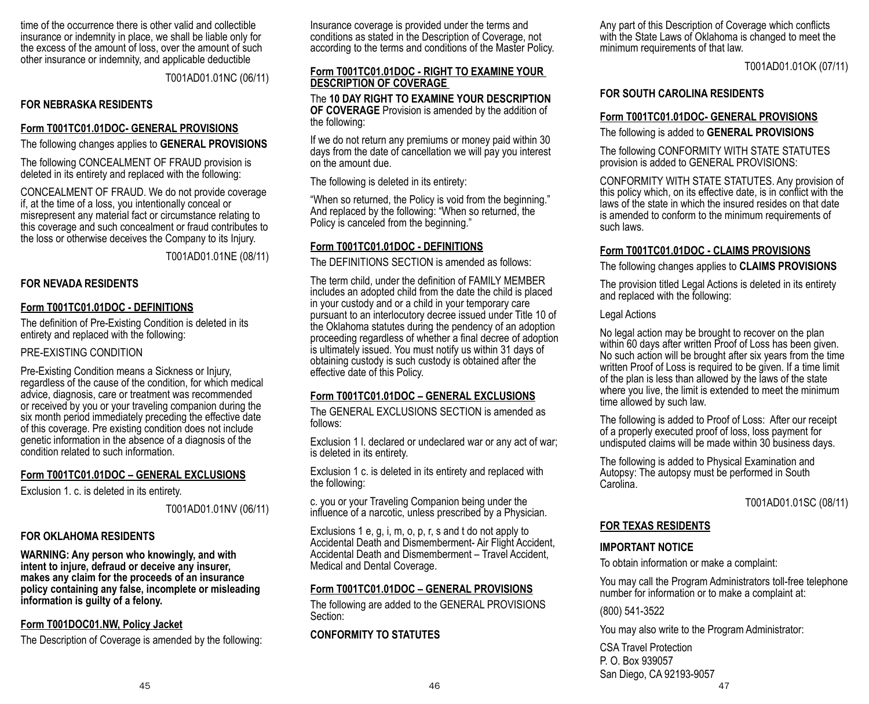time of the occurrence there is other valid and collectible insurance or indemnity in place, we shall be liable only for the excess of the amount of loss, over the amount of such other insurance or indemnity, and applicable deductible

T001AD01.01NC (06/11)

### **FOR NEBRASKA RESIDENTS**

### **Form T001TC01.01DOC- GENERAL PROVISIONS**

The following changes applies to **GENERAL PROVISIONS**

The following CONCEALMENT OF FRAUD provision is deleted in its entirety and replaced with the following:

CONCEALMENT OF FRAUD. We do not provide coverage if, at the time of a loss, you intentionally conceal or misrepresent any material fact or circumstance relating to this coverage and such concealment or fraud contributes to the loss or otherwise deceives the Company to its Injury.

T001AD01.01NE (08/11)

### **FOR NEVADA RESIDENTS**

### **Form T001TC01.01DOC - DEFINITIONS**

The definition of Pre-Existing Condition is deleted in its entirety and replaced with the following:

### PRE-EXISTING CONDITION

Pre-Existing Condition means a Sickness or Injury, regardless of the cause of the condition, for which medical advice, diagnosis, care or treatment was recommended or received by you or your traveling companion during the six month period immediately preceding the effective date of this coverage. Pre existing condition does not include genetic information in the absence of a diagnosis of the condition related to such information.

#### **Form T001TC01.01DOC – GENERAL EXCLUSIONS**

Exclusion 1. c. is deleted in its entirety.

T001AD01.01NV (06/11)

#### **FOR OKLAHOMA RESIDENTS**

**WARNING: Any person who knowingly, and with intent to injure, defraud or deceive any insurer, makes any claim for the proceeds of an insurance policy containing any false, incomplete or misleading information is guilty of a felony.**

#### **Form T001DOC01.NW, Policy Jacket**

The Description of Coverage is amended by the following:

Insurance coverage is provided under the terms and conditions as stated in the Description of Coverage, not according to the terms and conditions of the Master Policy.

#### **Form T001TC01.01DOC - RIGHT TO EXAMINE YOUR DESCRIPTION OF COVERAGE**

The **10 DAY RIGHT TO EXAMINE YOUR DESCRIPTION OF COVERAGE** Provision is amended by the addition of the following:

If we do not return any premiums or money paid within 30 days from the date of cancellation we will pay you interest on the amount due.

The following is deleted in its entirety:

"When so returned, the Policy is void from the beginning." And replaced by the following: "When so returned, the Policy is canceled from the beginning."

## **Form T001TC01.01DOC - DEFINITIONS**

The DEFINITIONS SECTION is amended as follows:

The term child, under the definition of FAMILY MEMBER includes an adopted child from the date the child is placed in your custody and or a child in your temporary care pursuant to an interlocutory decree issued under Title 10 of the Oklahoma statutes during the pendency of an adoption proceeding regardless of whether a final decree of adoption is ultimately issued. You must notify us within 31 days of obtaining custody is such custody is obtained after the effective date of this Policy.

#### **Form T001TC01.01DOC – GENERAL EXCLUSIONS**

The GENERAL EXCLUSIONS SECTION is amended as follows:

Exclusion 1 l. declared or undeclared war or any act of war; is deleted in its entirety.

Exclusion 1 c. is deleted in its entirety and replaced with the following:

c. you or your Traveling Companion being under the influence of a narcotic, unless prescribed by a Physician.

Exclusions 1 e, g, i, m, o, p, r, s and t do not apply to Accidental Death and Dismemberment- Air Flight Accident, Accidental Death and Dismemberment – Travel Accident, Medical and Dental Coverage.

### **Form T001TC01.01DOC – GENERAL PROVISIONS**

The following are added to the GENERAL PROVISIONS Section:

### **CONFORMITY TO STATUTES**

Any part of this Description of Coverage which conflicts with the State Laws of Oklahoma is changed to meet the minimum requirements of that law.

T001AD01.01OK (07/11)

#### **FOR SOUTH CAROLINA RESIDENTS**

#### **Form T001TC01.01DOC- GENERAL PROVISIONS**

The following is added to **GENERAL PROVISIONS**

The following CONFORMITY WITH STATE STATUTES provision is added to GENERAL PROVISIONS:

CONFORMITY WITH STATE STATUTES. Any provision of this policy which, on its effective date, is in conflict with the laws of the state in which the insured resides on that date is amended to conform to the minimum requirements of such laws.

### **Form T001TC01.01DOC - CLAIMS PROVISIONS**

The following changes applies to **CLAIMS PROVISIONS**

The provision titled Legal Actions is deleted in its entirety and replaced with the following:

#### Legal Actions

No legal action may be brought to recover on the plan within 60 days after written Proof of Loss has been given. No such action will be brought after six years from the time written Proof of Loss is required to be given. If a time limit of the plan is less than allowed by the laws of the state where you live, the limit is extended to meet the minimum time allowed by such law.

The following is added to Proof of Loss: After our receipt of a properly executed proof of loss, loss payment for undisputed claims will be made within 30 business days.

The following is added to Physical Examination and Autopsy: The autopsy must be performed in South Carolina.

T001AD01.01SC (08/11)

#### **FOR TEXAS RESIDENTS**

#### **IMPORTANT NOTICE**

To obtain information or make a complaint:

You may call the Program Administrators toll-free telephone number for information or to make a complaint at:

(800) 541-3522

You may also write to the Program Administrator:

45 46 47 CSA Travel Protection P. O. Box 939057 San Diego, CA 92193-9057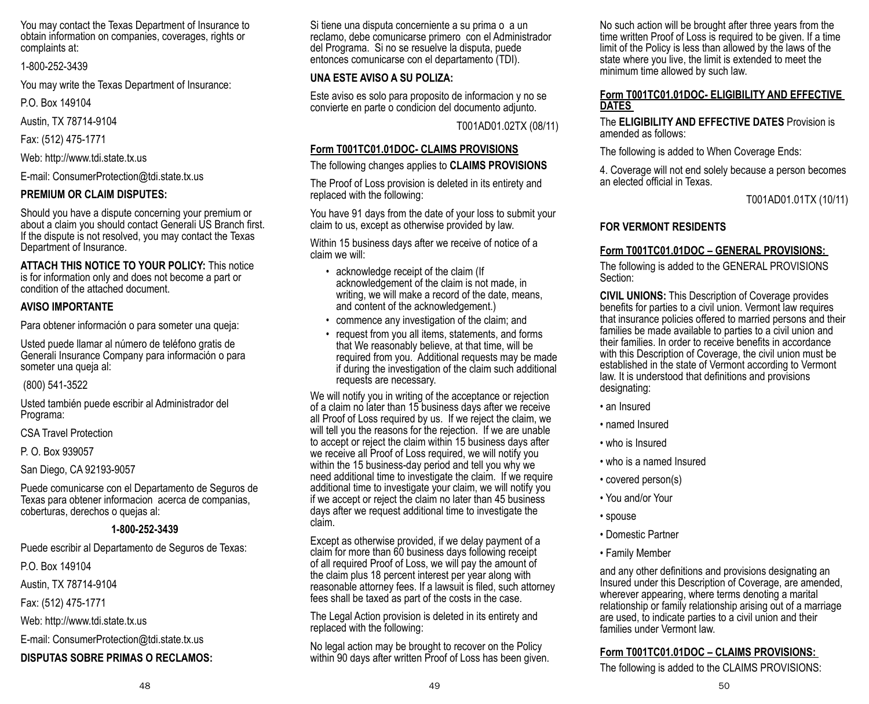You may contact the Texas Department of Insurance to obtain information on companies, coverages, rights or complaints at:

#### 1-800-252-3439

You may write the Texas Department of Insurance:

P.O. Box 149104

Austin, TX 78714-9104

Fax: (512) 475-1771

Web: http://www.tdi.state.tx.us

E-mail: ConsumerProtection@tdi.state.tx.us

### **PREMIUM OR CLAIM DISPUTES:**

Should you have a dispute concerning your premium or about a claim you should contact Generali US Branch first. If the dispute is not resolved, you may contact the Texas Department of Insurance.

#### **ATTACH THIS NOTICE TO YOUR POLICY:** This notice is for information only and does not become a part or

condition of the attached document.

# **AVISO IMPORTANTE**

Para obtener información o para someter una queja:

Usted puede llamar al número de teléfono gratis de Generali Insurance Company para información o para someter una queja al:

### (800) 541-3522

Usted también puede escribir al Administrador del Programa:

CSA Travel Protection

P. O. Box 939057

San Diego, CA 92193-9057

Puede comunicarse con el Departamento de Seguros de Texas para obtener informacion acerca de companias, coberturas, derechos o quejas al:

### **1-800-252-3439**

Puede escribir al Departamento de Seguros de Texas:

P.O. Box 149104

Austin, TX 78714-9104

Fax: (512) 475-1771

Web: http://www.tdi.state.tx.us

E-mail: ConsumerProtection@tdi.state.tx.us

# **DISPUTAS SOBRE PRIMAS O RECLAMOS:**

Si tiene una disputa concerniente a su prima o a un reclamo, debe comunicarse primero con el Administrador del Programa. Si no se resuelve la disputa, puede entonces comunicarse con el departamento (TDI).

# **UNA ESTE AVISO A SU POLIZA:**

Este aviso es solo para proposito de informacion y no se convierte en parte o condicion del documento adjunto.

T001AD01.02TX (08/11)

# **Form T001TC01.01DOC- CLAIMS PROVISIONS**

The following changes applies to **CLAIMS PROVISIONS**

The Proof of Loss provision is deleted in its entirety and replaced with the following:

You have 91 days from the date of your loss to submit your claim to us, except as otherwise provided by law.

Within 15 business days after we receive of notice of a claim we will:

- acknowledge receipt of the claim (If acknowledgement of the claim is not made, in writing, we will make a record of the date, means. and content of the acknowledgement.)
- commence any investigation of the claim; and
- request from you all items, statements, and forms that We reasonably believe, at that time, will be required from you. Additional requests may be made if during the investigation of the claim such additional requests are necessary.

We will notify you in writing of the acceptance or rejection of a claim no later than 15 business days after we receive all Proof of Loss required by us. If we reject the claim, we will tell you the reasons for the rejection. If we are unable to accept or reject the claim within 15 business days after we receive all Proof of Loss required, we will notify you within the 15 business-day period and tell you why we need additional time to investigate the claim. If we require additional time to investigate your claim, we will notify you if we accept or reject the claim no later than 45 business days after we request additional time to investigate the claim.

Except as otherwise provided, if we delay payment of a claim for more than 60 business days following receipt of all required Proof of Loss, we will pay the amount of the claim plus 18 percent interest per year along with reasonable attorney fees. If a lawsuit is filed, such attorney fees shall be taxed as part of the costs in the case.

The Legal Action provision is deleted in its entirety and replaced with the following:

No legal action may be brought to recover on the Policy within 90 days after written Proof of Loss has been given. No such action will be brought after three years from the time written Proof of Loss is required to be given. If a time limit of the Policy is less than allowed by the laws of the state where you live, the limit is extended to meet the minimum time allowed by such law.

#### **Form T001TC01.01DOC- ELIGIBILITY AND EFFECTIVE DATES**

The **ELIGIBILITY AND EFFECTIVE DATES** Provision is amended as follows:

The following is added to When Coverage Ends:

4. Coverage will not end solely because a person becomes an elected official in Texas.

T001AD01.01TX (10/11)

# **FOR VERMONT RESIDENTS**

# **Form T001TC01.01DOC – GENERAL PROVISIONS:**

The following is added to the GENERAL PROVISIONS Section:

**CIVIL UNIONS:** This Description of Coverage provides benefits for parties to a civil union. Vermont law requires that insurance policies offered to married persons and their families be made available to parties to a civil union and their families. In order to receive benefits in accordance with this Description of Coverage, the civil union must be established in the state of Vermont according to Vermont law. It is understood that definitions and provisions designating:

- an Insured
- named Insured
- who is Insured
- who is a named Insured
- covered person(s)
- You and/or Your
- spouse
- Domestic Partner
- Family Member

and any other definitions and provisions designating an Insured under this Description of Coverage, are amended, wherever appearing, where terms denoting a marital relationship or family relationship arising out of a marriage are used, to indicate parties to a civil union and their families under Vermont law.

# **Form T001TC01.01DOC – CLAIMS PROVISIONS:**

The following is added to the CLAIMS PROVISIONS: